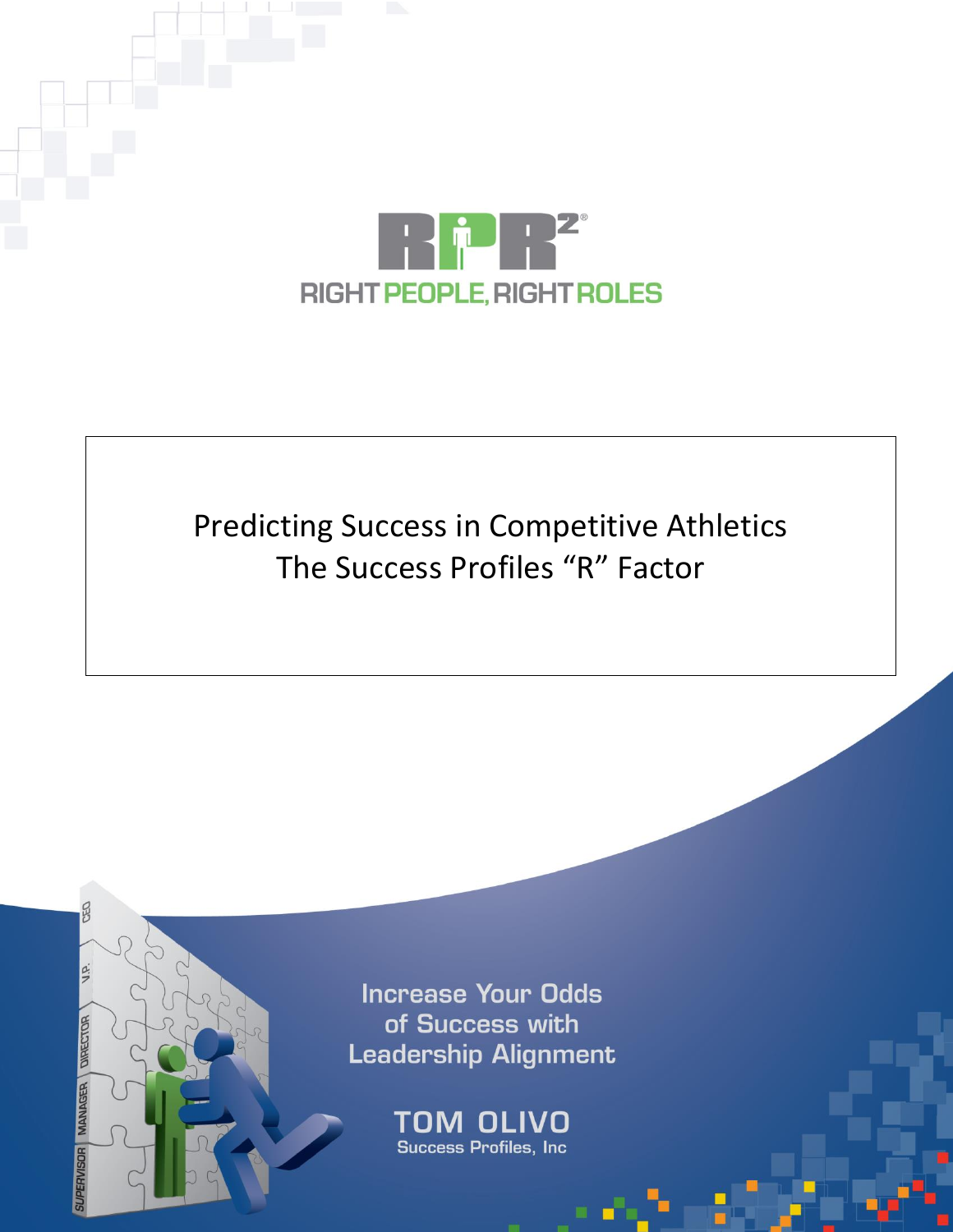

# Predicting Success in Competitive Athletics The Success Profiles "R" Factor



MANAGER DIRECTOR

TOM OLIVO Copyright **Copyright Roles. All right Roles**. All right Roles. All right Roles. All right Roles. All rights reserved. All rights reserved. All rights reserved. All rights reserved. All rights reserved. All rights reserved.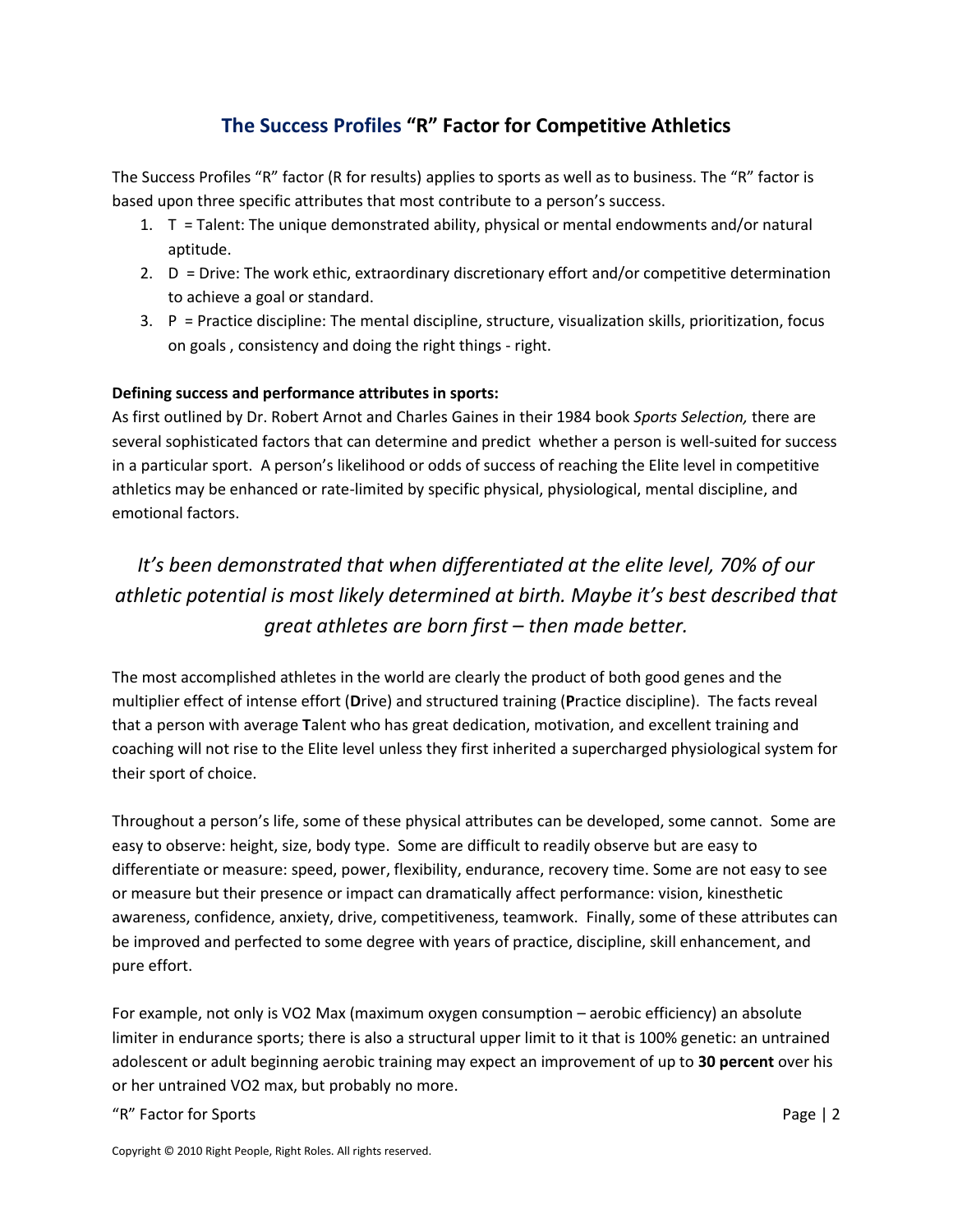### **The Success Profiles "R" Factor for Competitive Athletics**

The Success Profiles "R" factor (R for results) applies to sports as well as to business. The "R" factor is based upon three specific attributes that most contribute to a person's success.

- 1. T = Talent: The unique demonstrated ability, physical or mental endowments and/or natural aptitude.
- 2. D = Drive: The work ethic, extraordinary discretionary effort and/or competitive determination to achieve a goal or standard.
- 3. P = Practice discipline: The mental discipline, structure, visualization skills, prioritization, focus on goals , consistency and doing the right things - right.

#### **Defining success and performance attributes in sports:**

As first outlined by Dr. Robert Arnot and Charles Gaines in their 1984 book *Sports Selection,* there are several sophisticated factors that can determine and predict whether a person is well-suited for success in a particular sport. A person's likelihood or odds of success of reaching the Elite level in competitive athletics may be enhanced or rate-limited by specific physical, physiological, mental discipline, and emotional factors.

# *It's been demonstrated that when differentiated at the elite level, 70% of our athletic potential is most likely determined at birth. Maybe it's best described that great athletes are born first – then made better.*

The most accomplished athletes in the world are clearly the product of both good genes and the multiplier effect of intense effort (**D**rive) and structured training (**P**ractice discipline). The facts reveal that a person with average **T**alent who has great dedication, motivation, and excellent training and coaching will not rise to the Elite level unless they first inherited a supercharged physiological system for their sport of choice.

Throughout a person's life, some of these physical attributes can be developed, some cannot. Some are easy to observe: height, size, body type. Some are difficult to readily observe but are easy to differentiate or measure: speed, power, flexibility, endurance, recovery time. Some are not easy to see or measure but their presence or impact can dramatically affect performance: vision, kinesthetic awareness, confidence, anxiety, drive, competitiveness, teamwork. Finally, some of these attributes can be improved and perfected to some degree with years of practice, discipline, skill enhancement, and pure effort.

For example, not only is VO2 Max (maximum oxygen consumption – aerobic efficiency) an absolute limiter in endurance sports; there is also a structural upper limit to it that is 100% genetic: an untrained adolescent or adult beginning aerobic training may expect an improvement of up to **30 percent** over his or her untrained VO2 max, but probably no more.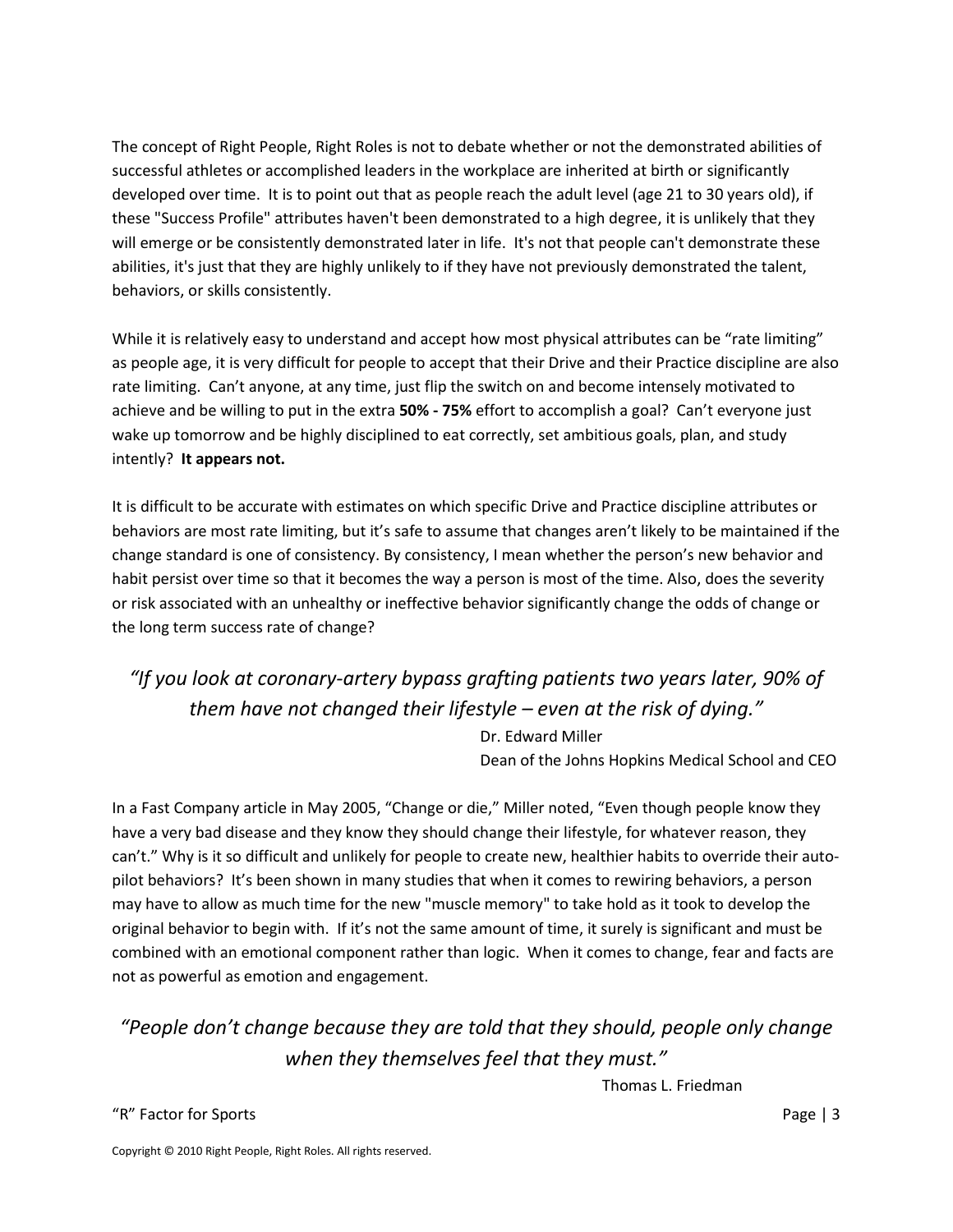The concept of Right People, Right Roles is not to debate whether or not the demonstrated abilities of successful athletes or accomplished leaders in the workplace are inherited at birth or significantly developed over time. It is to point out that as people reach the adult level (age 21 to 30 years old), if these "Success Profile" attributes haven't been demonstrated to a high degree, it is unlikely that they will emerge or be consistently demonstrated later in life. It's not that people can't demonstrate these abilities, it's just that they are highly unlikely to if they have not previously demonstrated the talent, behaviors, or skills consistently.

While it is relatively easy to understand and accept how most physical attributes can be "rate limiting" as people age, it is very difficult for people to accept that their Drive and their Practice discipline are also rate limiting. Can't anyone, at any time, just flip the switch on and become intensely motivated to achieve and be willing to put in the extra **50% - 75%** effort to accomplish a goal? Can't everyone just wake up tomorrow and be highly disciplined to eat correctly, set ambitious goals, plan, and study intently? **It appears not.** 

It is difficult to be accurate with estimates on which specific Drive and Practice discipline attributes or behaviors are most rate limiting, but it's safe to assume that changes aren't likely to be maintained if the change standard is one of consistency. By consistency, I mean whether the person's new behavior and habit persist over time so that it becomes the way a person is most of the time. Also, does the severity or risk associated with an unhealthy or ineffective behavior significantly change the odds of change or the long term success rate of change?

# *"If you look at coronary-artery bypass grafting patients two years later, 90% of them have not changed their lifestyle – even at the risk of dying."* Dr. Edward Miller

Dean of the Johns Hopkins Medical School and CEO

In a Fast Company article in May 2005, "Change or die," Miller noted, "Even though people know they have a very bad disease and they know they should change their lifestyle, for whatever reason, they can't." Why is it so difficult and unlikely for people to create new, healthier habits to override their autopilot behaviors? It's been shown in many studies that when it comes to rewiring behaviors, a person may have to allow as much time for the new "muscle memory" to take hold as it took to develop the original behavior to begin with. If it's not the same amount of time, it surely is significant and must be combined with an emotional component rather than logic. When it comes to change, fear and facts are not as powerful as emotion and engagement.

# *"People don't change because they are told that they should, people only change when they themselves feel that they must."*

Thomas L. Friedman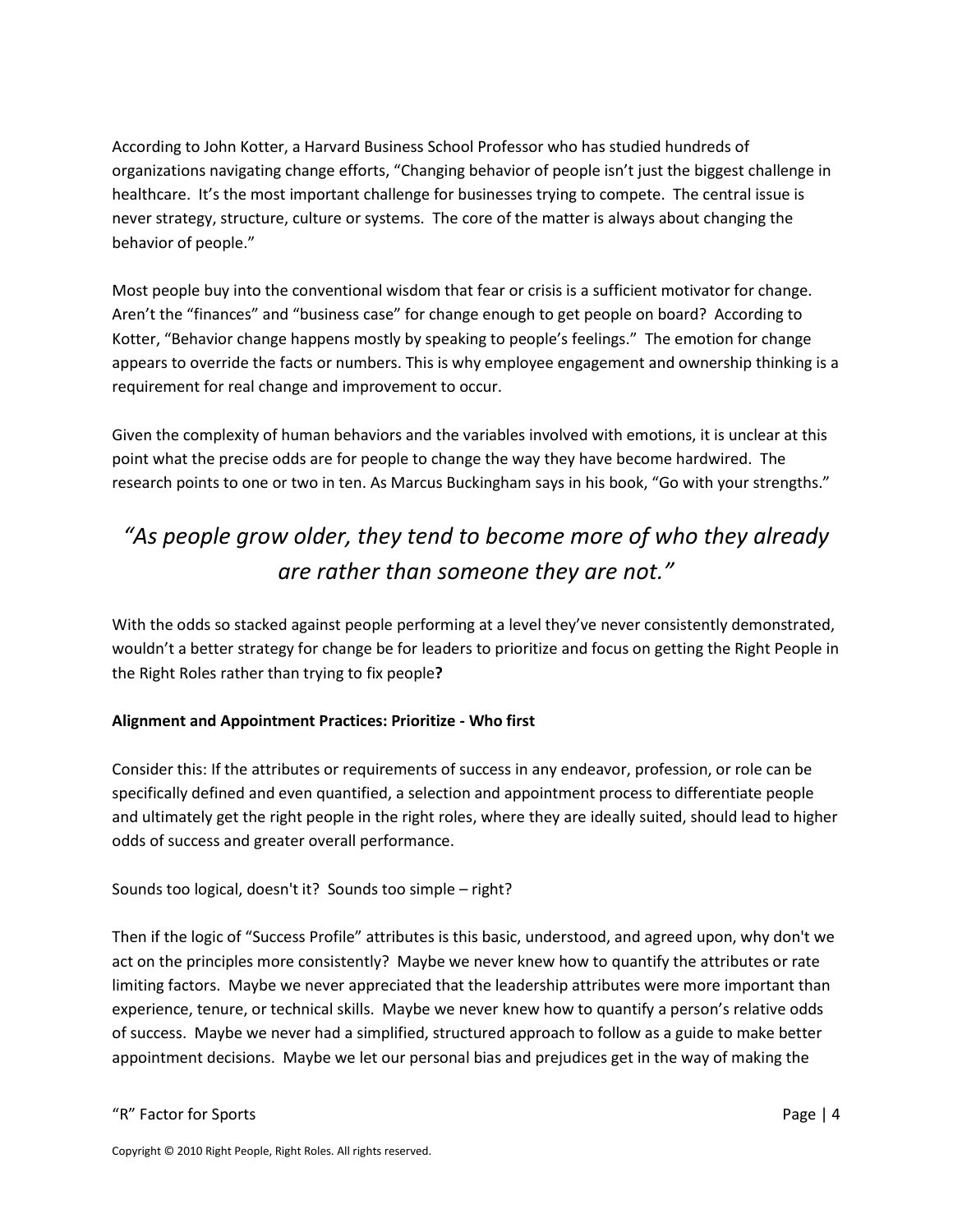According to John Kotter, a Harvard Business School Professor who has studied hundreds of organizations navigating change efforts, "Changing behavior of people isn't just the biggest challenge in healthcare. It's the most important challenge for businesses trying to compete. The central issue is never strategy, structure, culture or systems. The core of the matter is always about changing the behavior of people."

Most people buy into the conventional wisdom that fear or crisis is a sufficient motivator for change. Aren't the "finances" and "business case" for change enough to get people on board? According to Kotter, "Behavior change happens mostly by speaking to people's feelings." The emotion for change appears to override the facts or numbers. This is why employee engagement and ownership thinking is a requirement for real change and improvement to occur.

Given the complexity of human behaviors and the variables involved with emotions, it is unclear at this point what the precise odds are for people to change the way they have become hardwired. The research points to one or two in ten. As Marcus Buckingham says in his book, "Go with your strengths."

# *"As people grow older, they tend to become more of who they already are rather than someone they are not."*

With the odds so stacked against people performing at a level they've never consistently demonstrated, wouldn't a better strategy for change be for leaders to prioritize and focus on getting the Right People in the Right Roles rather than trying to fix people**?**

#### **Alignment and Appointment Practices: Prioritize - Who first**

Consider this: If the attributes or requirements of success in any endeavor, profession, or role can be specifically defined and even quantified, a selection and appointment process to differentiate people and ultimately get the right people in the right roles, where they are ideally suited, should lead to higher odds of success and greater overall performance.

Sounds too logical, doesn't it? Sounds too simple – right?

Then if the logic of "Success Profile" attributes is this basic, understood, and agreed upon, why don't we act on the principles more consistently? Maybe we never knew how to quantify the attributes or rate limiting factors. Maybe we never appreciated that the leadership attributes were more important than experience, tenure, or technical skills. Maybe we never knew how to quantify a person's relative odds of success. Maybe we never had a simplified, structured approach to follow as a guide to make better appointment decisions. Maybe we let our personal bias and prejudices get in the way of making the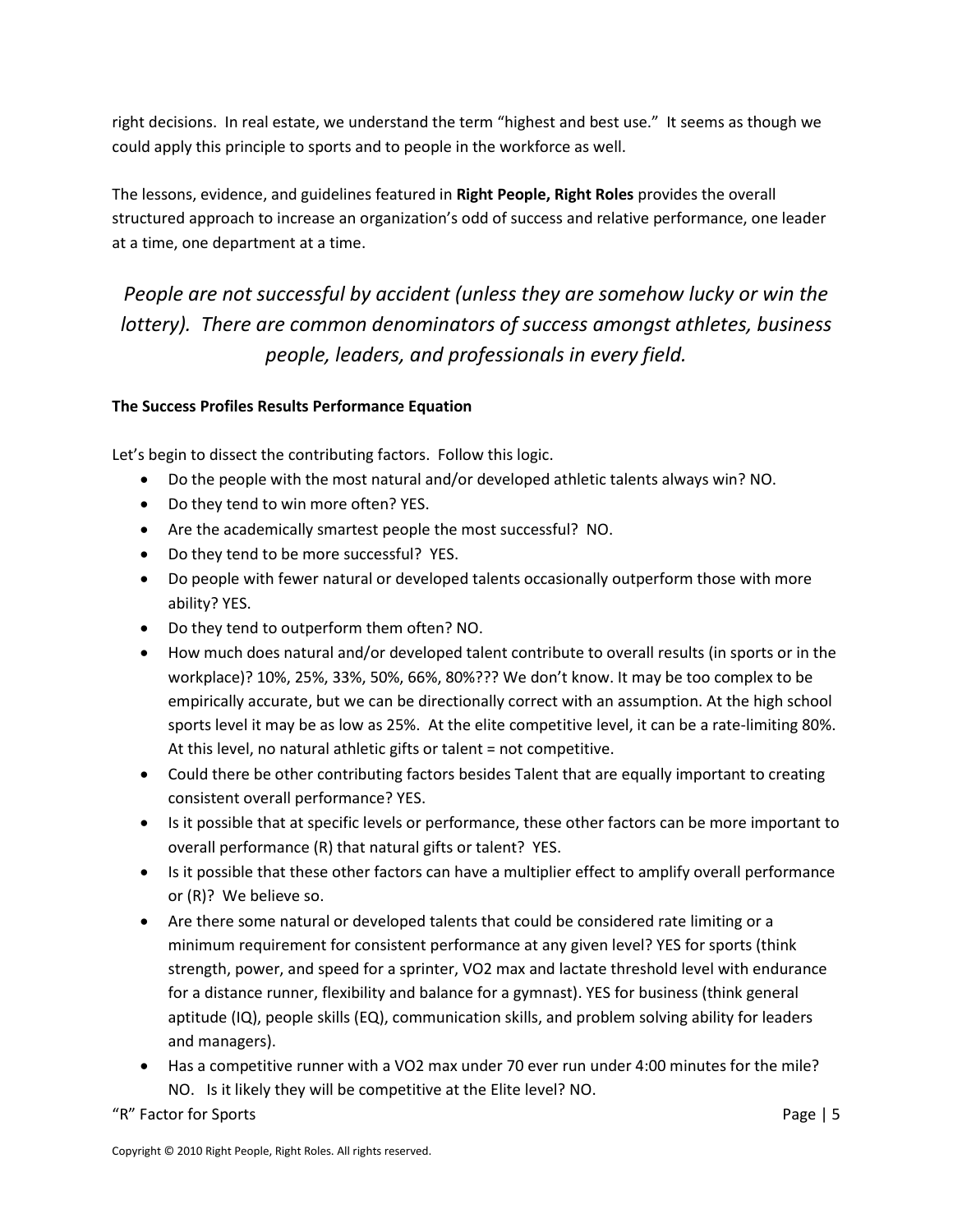right decisions. In real estate, we understand the term "highest and best use." It seems as though we could apply this principle to sports and to people in the workforce as well.

The lessons, evidence, and guidelines featured in **Right People, Right Roles** provides the overall structured approach to increase an organization's odd of success and relative performance, one leader at a time, one department at a time.

*People are not successful by accident (unless they are somehow lucky or win the lottery). There are common denominators of success amongst athletes, business people, leaders, and professionals in every field.*

#### **The Success Profiles Results Performance Equation**

Let's begin to dissect the contributing factors. Follow this logic.

- Do the people with the most natural and/or developed athletic talents always win? NO.
- Do they tend to win more often? YES.
- Are the academically smartest people the most successful? NO.
- Do they tend to be more successful? YES.
- Do people with fewer natural or developed talents occasionally outperform those with more ability? YES.
- Do they tend to outperform them often? NO.
- How much does natural and/or developed talent contribute to overall results (in sports or in the workplace)? 10%, 25%, 33%, 50%, 66%, 80%??? We don't know. It may be too complex to be empirically accurate, but we can be directionally correct with an assumption. At the high school sports level it may be as low as 25%. At the elite competitive level, it can be a rate-limiting 80%. At this level, no natural athletic gifts or talent = not competitive.
- Could there be other contributing factors besides Talent that are equally important to creating consistent overall performance? YES.
- Is it possible that at specific levels or performance, these other factors can be more important to overall performance (R) that natural gifts or talent? YES.
- Is it possible that these other factors can have a multiplier effect to amplify overall performance or (R)? We believe so.
- Are there some natural or developed talents that could be considered rate limiting or a minimum requirement for consistent performance at any given level? YES for sports (think strength, power, and speed for a sprinter, VO2 max and lactate threshold level with endurance for a distance runner, flexibility and balance for a gymnast). YES for business (think general aptitude (IQ), people skills (EQ), communication skills, and problem solving ability for leaders and managers).
- Has a competitive runner with a VO2 max under 70 ever run under 4:00 minutes for the mile? NO. Is it likely they will be competitive at the Elite level? NO.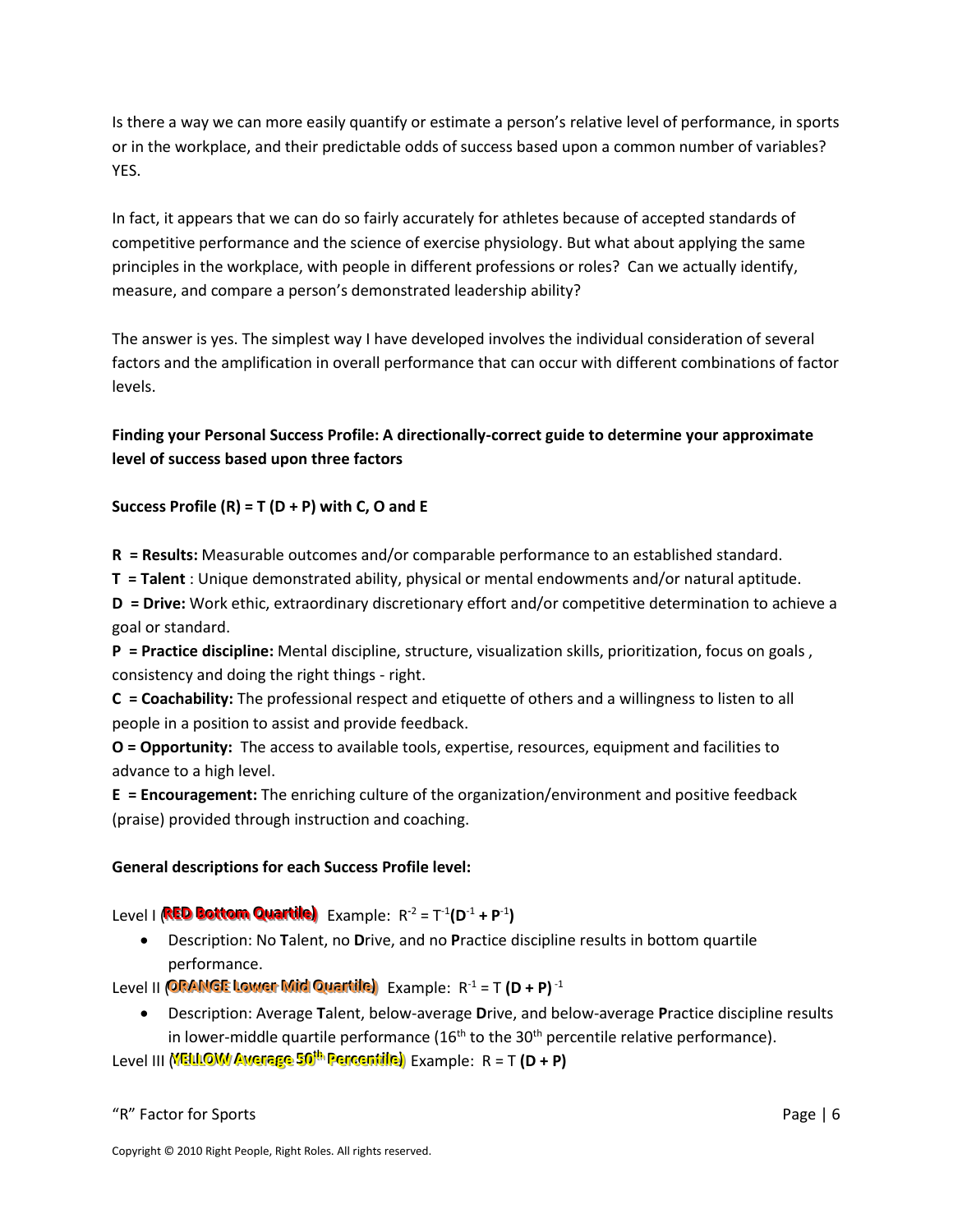Is there a way we can more easily quantify or estimate a person's relative level of performance, in sports or in the workplace, and their predictable odds of success based upon a common number of variables? YES.

In fact, it appears that we can do so fairly accurately for athletes because of accepted standards of competitive performance and the science of exercise physiology. But what about applying the same principles in the workplace, with people in different professions or roles? Can we actually identify, measure, and compare a person's demonstrated leadership ability?

The answer is yes. The simplest way I have developed involves the individual consideration of several factors and the amplification in overall performance that can occur with different combinations of factor levels.

### **Finding your Personal Success Profile: A directionally-correct guide to determine your approximate level of success based upon three factors**

#### **Success Profile (R) = T (D + P) with C, O and E**

**R = Results:** Measurable outcomes and/or comparable performance to an established standard.

**T = Talent** : Unique demonstrated ability, physical or mental endowments and/or natural aptitude.

**D = Drive:** Work ethic, extraordinary discretionary effort and/or competitive determination to achieve a goal or standard.

**P = Practice discipline:** Mental discipline, structure, visualization skills, prioritization, focus on goals , consistency and doing the right things - right.

**C = Coachability:** The professional respect and etiquette of others and a willingness to listen to all people in a position to assist and provide feedback.

**O = Opportunity:** The access to available tools, expertise, resources, equipment and facilities to advance to a high level.

**E = Encouragement:** The enriching culture of the organization/environment and positive feedback (praise) provided through instruction and coaching.

#### **General descriptions for each Success Profile level:**

Level | **(RED Bottom Quartile)** Example: R<sup>-2</sup> = T<sup>-1</sup>(D<sup>-1</sup> + P<sup>-1</sup>)

 Description: No **T**alent, no **D**rive, and no **P**ractice discipline results in bottom quartile performance.

Level II (ORANGE Lower Mid Quartile) Example: R<sup>-1</sup> = T **(D + P)**<sup>-1</sup>

 Description: Average **T**alent, below-average **D**rive, and below-average **P**ractice discipline results in lower-middle quartile performance  $(16<sup>th</sup>$  to the 30<sup>th</sup> percentile relative performance).

 $\textrm{Level III}$  (VELLOW Averege 50<sup>th p</sup>ercentile) Example: R = T **(D + P)**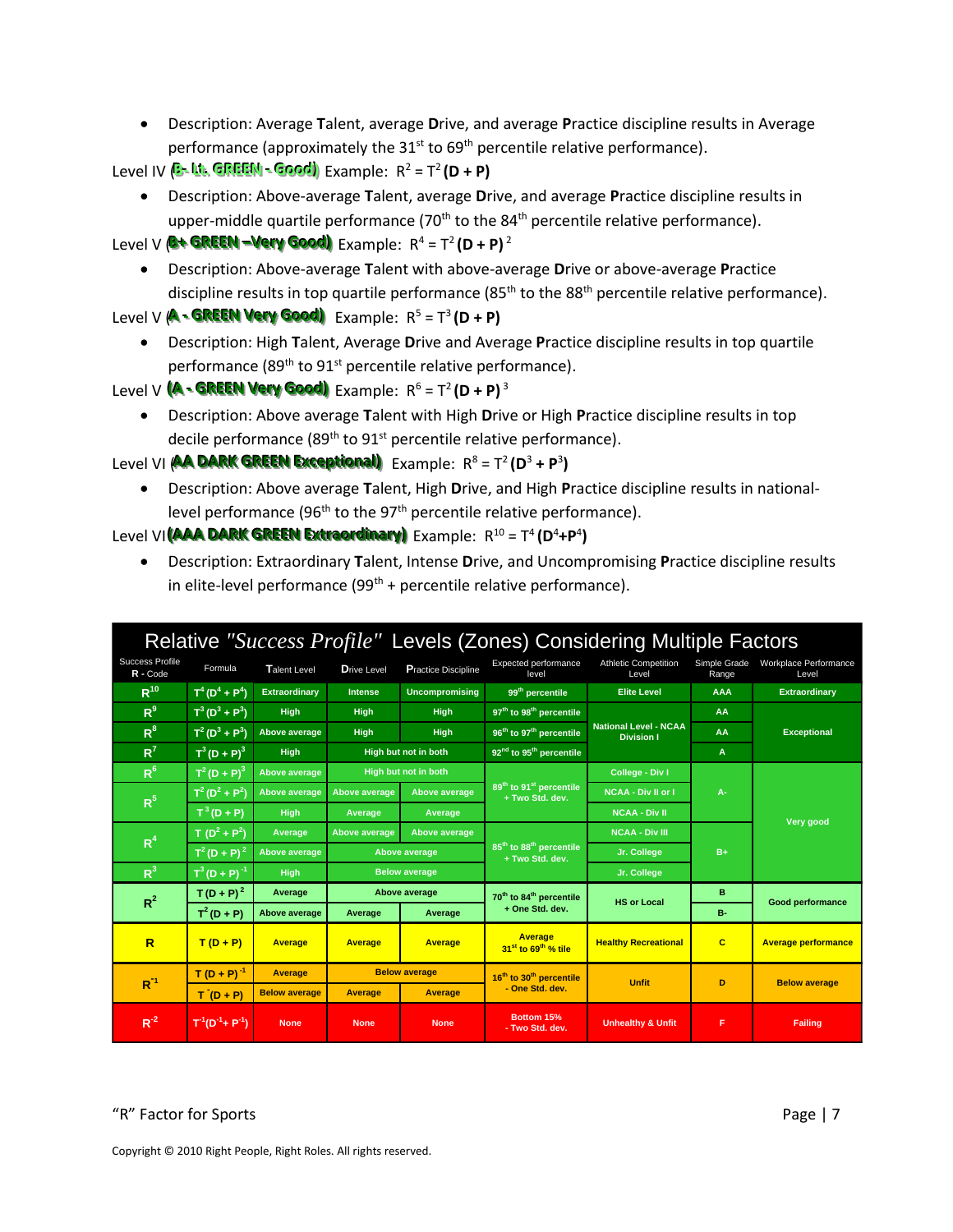Description: Average **T**alent, average **D**rive, and average **P**ractice discipline results in Average performance (approximately the  $31<sup>st</sup>$  to 69<sup>th</sup> percentile relative performance).

**Level IV (B-Ltt. GREEN - Good)** Example: R<sup>2</sup> = T<sup>2</sup> (D + P)

 Description: Above-average **T**alent, average **D**rive, and average **P**ractice discipline results in upper-middle quartile performance  $(70<sup>th</sup>$  to the  $84<sup>th</sup>$  percentile relative performance).

```
Level V (C+ GREEN <del>– Very Good)</del>, Example: R<sup>4</sup> = T<sup>2</sup> (D + P)<sup>2</sup>
```
 Description: Above-average **T**alent with above-average **D**rive or above-average **P**ractice discipline results in top quartile performance ( $85<sup>th</sup>$  to the  $88<sup>th</sup>$  percentile relative performance).

```
Level V (A - GREEN Very Good) Example: R<sup>5</sup> = T<sup>3</sup> (D + P)
```
 Description: High **T**alent, Average **D**rive and Average **P**ractice discipline results in top quartile performance (89<sup>th</sup> to 91<sup>st</sup> percentile relative performance).

```
Level V (A - GREEN Very Good) Example: R<sup>6</sup> = T<sup>2</sup> (D + P)<sup>3</sup>
```
 Description: Above average **T**alent with High **D**rive or High **P**ractice discipline results in top decile performance (89<sup>th</sup> to 91<sup>st</sup> percentile relative performance).

Level VI (**AA DARK GREEN Exceptional)** Example: R<sup>8</sup> = T<sup>2</sup> (D<sup>3</sup> + P<sup>3</sup>)

 Description: Above average **T**alent, High **D**rive, and High **P**ractice discipline results in nationallevel performance (96<sup>th</sup> to the 97<sup>th</sup> percentile relative performance).

Level VI (AAA DARK GREEN Extraordinary) Example: R<sup>10</sup> = T<sup>4</sup> (D<sup>4</sup>+P<sup>4</sup>)

 Description: Extraordinary **T**alent, Intense **D**rive, and Uncompromising **P**ractice discipline results in elite-level performance  $(99<sup>th</sup> +$  percentile relative performance).

| Relative "Success Profile" Levels (Zones) Considering Multiple Factors |                      |                      |                      |                            |                                                                                              |                                                   |                       |                                |
|------------------------------------------------------------------------|----------------------|----------------------|----------------------|----------------------------|----------------------------------------------------------------------------------------------|---------------------------------------------------|-----------------------|--------------------------------|
| <b>Success Profile</b><br>R - Code                                     | Formula              | Talent Level         | <b>Drive Level</b>   | <b>Practice Discipline</b> | Expected performance<br>level                                                                | <b>Athletic Competition</b><br>Level              | Simple Grade<br>Range | Workplace Performance<br>Level |
| $R^{10}$                                                               | $T^4(D^4 + P^4)$     | <b>Extraordinary</b> | <b>Intense</b>       | Uncompromising             | 99 <sup>th</sup> percentile                                                                  | <b>Elite Level</b>                                | <b>AAA</b>            | <b>Extraordinary</b>           |
| R <sup>9</sup>                                                         | $T^3(D^3 + P^3)$     | High                 | High                 | <b>High</b>                | 97 <sup>th</sup> to 98 <sup>th</sup> percentile                                              |                                                   | AA                    | <b>Exceptional</b>             |
| $R^8$                                                                  | $T^2(D^3+P^3)$       | Above average        | <b>High</b>          | <b>High</b>                | 96 <sup>th</sup> to 97 <sup>th</sup> percentile                                              | <b>National Level - NCAA</b><br><b>Division I</b> | AA                    |                                |
| $R^7$                                                                  | $T^3 (D + P)^3$      | High                 |                      | High but not in both       | 92 <sup>nd</sup> to 95 <sup>th</sup> percentile                                              |                                                   | $\mathbf{A}$          |                                |
| $R^6$                                                                  | $T^2 (D + P)^3$      | Above average        |                      | High but not in both       |                                                                                              | College - Div I                                   |                       | Very good                      |
|                                                                        | $T^2(D^2 + P^2)$     | Above average        | Above average        | Above average              | 89 <sup>th</sup> to 91 <sup>st</sup> percentile<br>+ Two Std. dev.                           | <b>NCAA - Div II or I</b>                         | $A -$                 |                                |
| $R^5$                                                                  | $T^3(D+P)$           | <b>High</b>          | Average              | Average                    |                                                                                              | <b>NCAA - Div II</b>                              |                       |                                |
|                                                                        | $T(D^2 + P^2)$       | Average              | <b>Above average</b> | Above average              |                                                                                              | <b>NCAA - Div III</b>                             |                       |                                |
| R <sup>4</sup>                                                         | $T^2(D + P)^2$       | Above average        | Above average        |                            | 85 <sup>th</sup> to 88 <sup>th</sup> percentile<br>+ Two Std. dev.                           | Jr. College                                       | $B+$                  |                                |
| R <sup>3</sup>                                                         | $T^3(D + P)^{-1}$    | <b>High</b>          |                      | <b>Below average</b>       |                                                                                              | Jr. College                                       |                       |                                |
| $R^2$                                                                  | $T(D + P)^2$         | Average              |                      | Above average              | 70 <sup>th</sup> to 84 <sup>th</sup> percentile                                              | <b>HS or Local</b>                                | в                     |                                |
|                                                                        | $T^2(D + P)$         | Above average        | Average              | Average                    | + One Std. dev.                                                                              |                                                   | <b>B-</b>             | Good performance               |
| $\overline{\mathsf{R}}$                                                | $T(D+P)$             | <b>Average</b>       | <b>Average</b>       | <b>Average</b>             | <b>Average</b><br><b>Healthy Recreational</b><br>31 <sup>st</sup> to 69 <sup>th</sup> % tile |                                                   | $\mathbf{C}$          | <b>Average performance</b>     |
| $R^{-1}$                                                               | $T(D + P)^{-1}$      | <b>Average</b>       |                      | <b>Below average</b>       | 16 <sup>th</sup> to 30 <sup>th</sup> percentile                                              | <b>Unfit</b>                                      |                       | <b>Below average</b>           |
|                                                                        | $T(D+P)$             | <b>Below average</b> | Average              | <b>Average</b>             | - One Std. dev.                                                                              |                                                   | D                     |                                |
| $R^{-2}$                                                               | $T^1(D^{-1}+P^{-1})$ | <b>None</b>          | <b>None</b>          | <b>None</b>                | Bottom 15%<br>- Two Std. dev.                                                                | <b>Unhealthy &amp; Unfit</b>                      | F                     | <b>Failing</b>                 |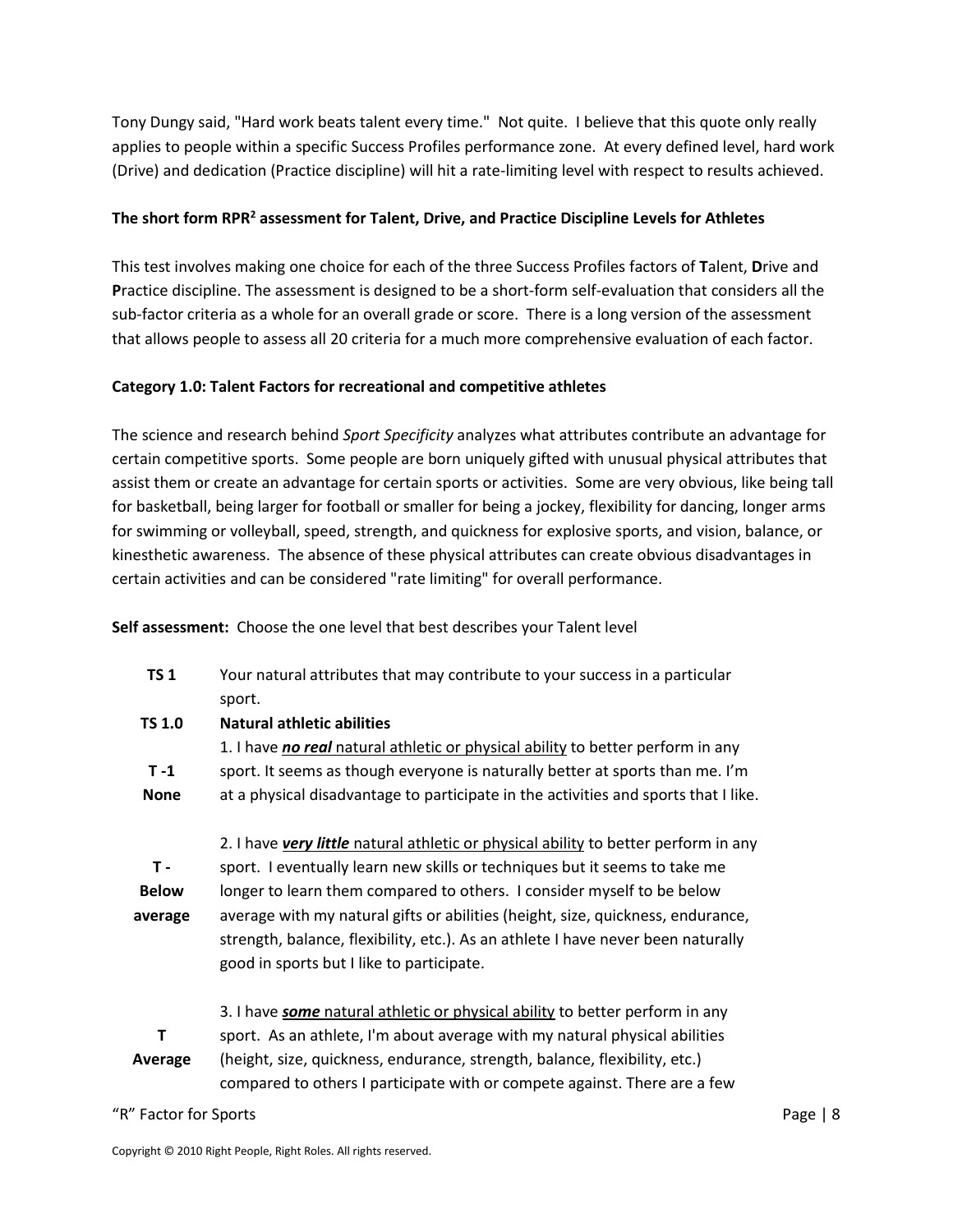Tony Dungy said, "Hard work beats talent every time." Not quite. I believe that this quote only really applies to people within a specific Success Profiles performance zone. At every defined level, hard work (Drive) and dedication (Practice discipline) will hit a rate-limiting level with respect to results achieved.

#### **The short form RPR<sup>2</sup> assessment for Talent, Drive, and Practice Discipline Levels for Athletes**

This test involves making one choice for each of the three Success Profiles factors of **T**alent, **D**rive and **P**ractice discipline. The assessment is designed to be a short-form self-evaluation that considers all the sub-factor criteria as a whole for an overall grade or score. There is a long version of the assessment that allows people to assess all 20 criteria for a much more comprehensive evaluation of each factor.

#### **Category 1.0: Talent Factors for recreational and competitive athletes**

The science and research behind *Sport Specificity* analyzes what attributes contribute an advantage for certain competitive sports. Some people are born uniquely gifted with unusual physical attributes that assist them or create an advantage for certain sports or activities. Some are very obvious, like being tall for basketball, being larger for football or smaller for being a jockey, flexibility for dancing, longer arms for swimming or volleyball, speed, strength, and quickness for explosive sports, and vision, balance, or kinesthetic awareness. The absence of these physical attributes can create obvious disadvantages in certain activities and can be considered "rate limiting" for overall performance.

**Self assessment:** Choose the one level that best describes your Talent level

| <b>TS1</b>    | Your natural attributes that may contribute to your success in a particular<br>sport. |
|---------------|---------------------------------------------------------------------------------------|
| <b>TS 1.0</b> | Natural athletic abilities                                                            |
|               | 1. I have no real natural athletic or physical ability to better perform in any       |
| $T - 1$       | sport. It seems as though everyone is naturally better at sports than me. I'm         |
| <b>None</b>   | at a physical disadvantage to participate in the activities and sports that I like.   |
|               |                                                                                       |
|               | 2. I have very little natural athletic or physical ability to better perform in any   |
| $T -$         | sport. I eventually learn new skills or techniques but it seems to take me            |
| <b>Below</b>  | longer to learn them compared to others. I consider myself to be below                |
| average       | average with my natural gifts or abilities (height, size, quickness, endurance,       |
|               | strength, balance, flexibility, etc.). As an athlete I have never been naturally      |
|               | good in sports but I like to participate.                                             |
|               |                                                                                       |
|               | 3. I have some natural athletic or physical ability to better perform in any          |
| т             | sport. As an athlete, I'm about average with my natural physical abilities            |
| Average       | (height, size, quickness, endurance, strength, balance, flexibility, etc.)            |
|               | compared to others I participate with or compete against. There are a few             |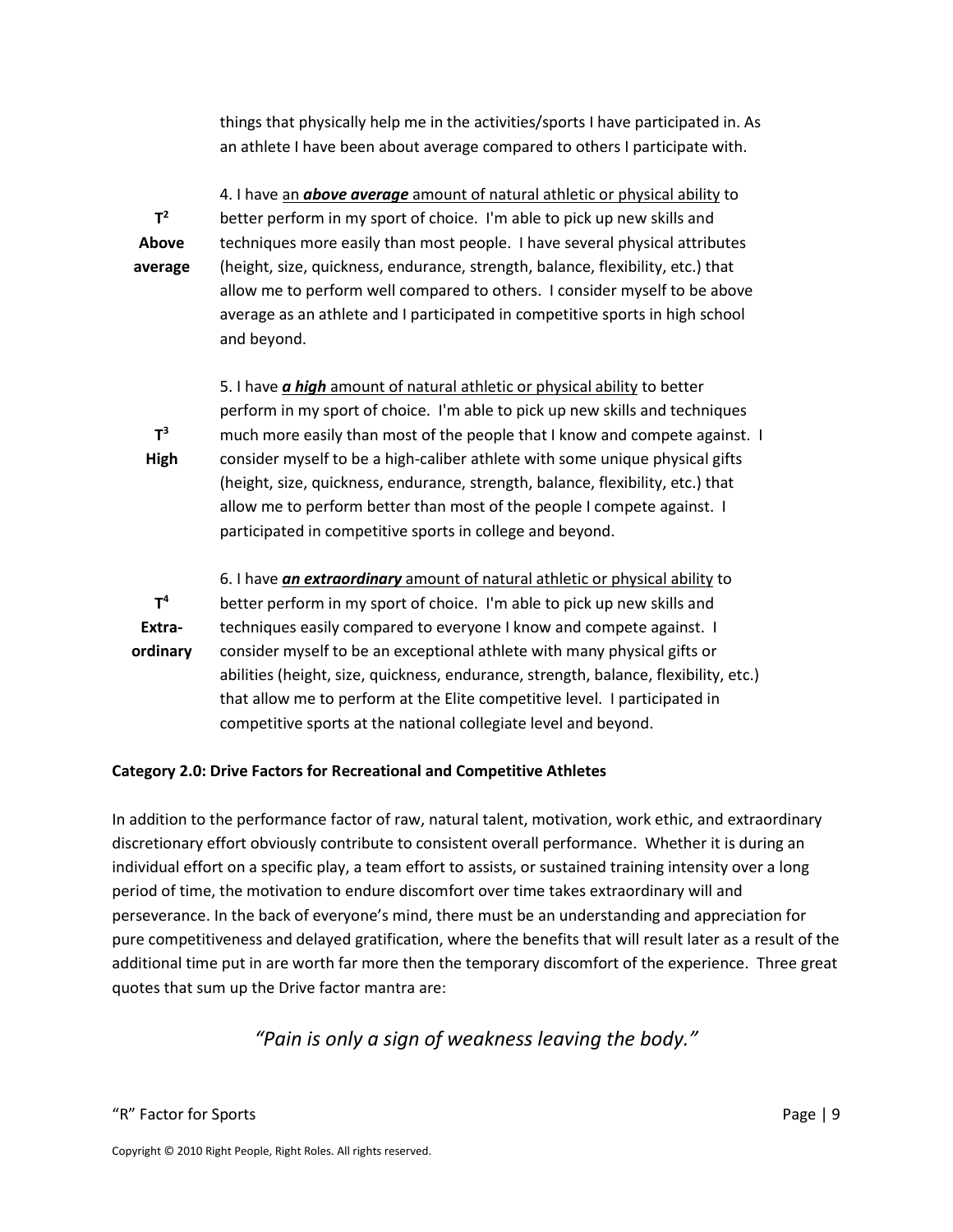things that physically help me in the activities/sports I have participated in. As an athlete I have been about average compared to others I participate with.

|                | 4. I have an <b>above average</b> amount of natural athletic or physical ability to  |
|----------------|--------------------------------------------------------------------------------------|
| $T^2$          | better perform in my sport of choice. I'm able to pick up new skills and             |
| Above          | techniques more easily than most people. I have several physical attributes          |
| average        | (height, size, quickness, endurance, strength, balance, flexibility, etc.) that      |
|                | allow me to perform well compared to others. I consider myself to be above           |
|                | average as an athlete and I participated in competitive sports in high school        |
|                | and beyond.                                                                          |
|                |                                                                                      |
|                | 5. I have <i>a high</i> amount of natural athletic or physical ability to better     |
|                | perform in my sport of choice. I'm able to pick up new skills and techniques         |
| $T^3$          | much more easily than most of the people that I know and compete against. I          |
| High           | consider myself to be a high-caliber athlete with some unique physical gifts         |
|                | (height, size, quickness, endurance, strength, balance, flexibility, etc.) that      |
|                | allow me to perform better than most of the people I compete against. I              |
|                | participated in competitive sports in college and beyond.                            |
|                |                                                                                      |
|                | 6. I have an extraordinary amount of natural athletic or physical ability to         |
| T <sup>4</sup> | better perform in my sport of choice. I'm able to pick up new skills and             |
| Extra-         | techniques easily compared to everyone I know and compete against. I                 |
| ordinary       | consider myself to be an exceptional athlete with many physical gifts or             |
|                | abilities (height, size, quickness, endurance, strength, balance, flexibility, etc.) |
|                | that allow me to perform at the Elite competitive level. I participated in           |
|                | competitive sports at the national collegiate level and beyond.                      |

#### **Category 2.0: Drive Factors for Recreational and Competitive Athletes**

In addition to the performance factor of raw, natural talent, motivation, work ethic, and extraordinary discretionary effort obviously contribute to consistent overall performance. Whether it is during an individual effort on a specific play, a team effort to assists, or sustained training intensity over a long period of time, the motivation to endure discomfort over time takes extraordinary will and perseverance. In the back of everyone's mind, there must be an understanding and appreciation for pure competitiveness and delayed gratification, where the benefits that will result later as a result of the additional time put in are worth far more then the temporary discomfort of the experience. Three great quotes that sum up the Drive factor mantra are:

### *"Pain is only a sign of weakness leaving the body."*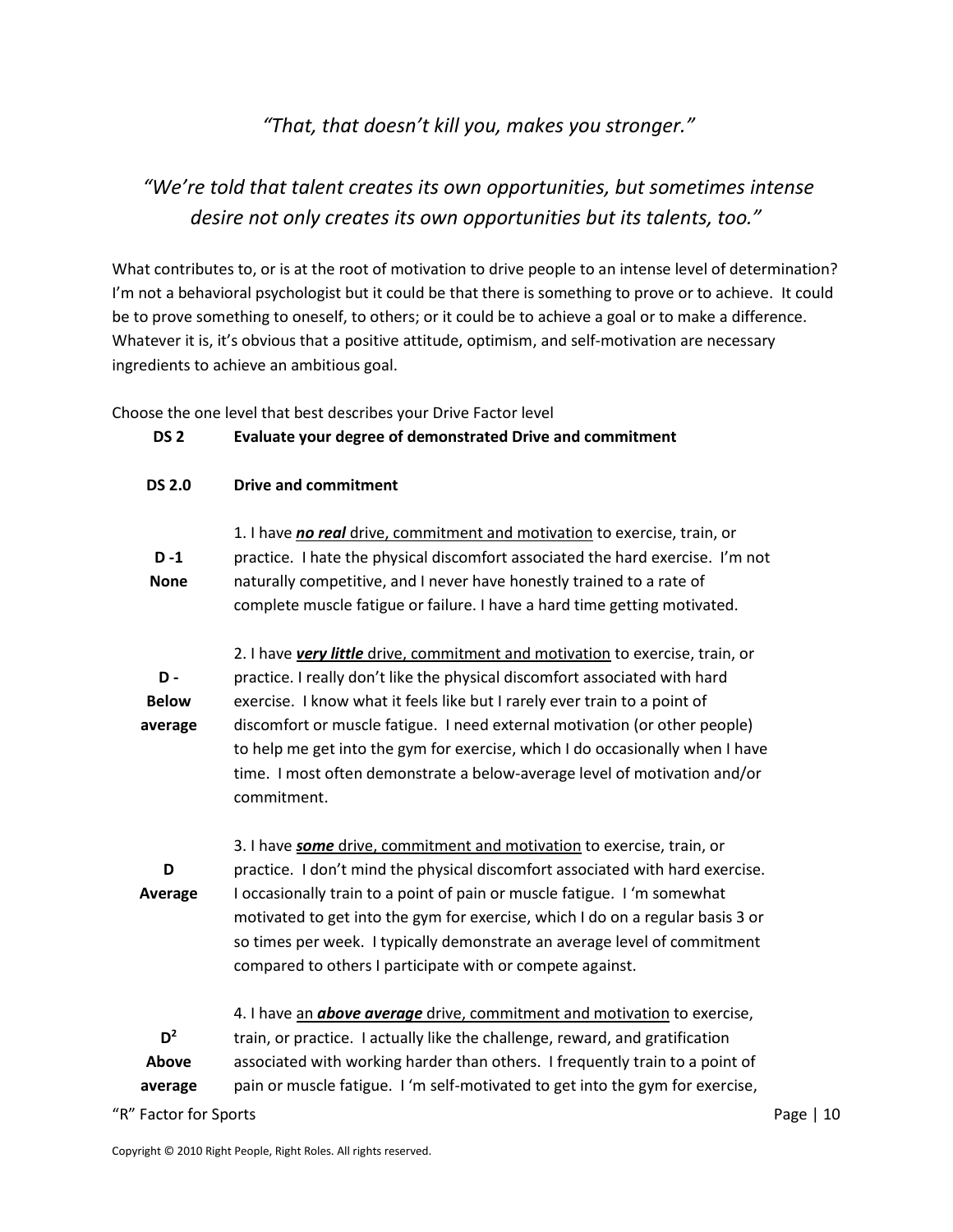### *"That, that doesn't kill you, makes you stronger."*

### *"We're told that talent creates its own opportunities, but sometimes intense desire not only creates its own opportunities but its talents, too."*

What contributes to, or is at the root of motivation to drive people to an intense level of determination? I'm not a behavioral psychologist but it could be that there is something to prove or to achieve. It could be to prove something to oneself, to others; or it could be to achieve a goal or to make a difference. Whatever it is, it's obvious that a positive attitude, optimism, and self-motivation are necessary ingredients to achieve an ambitious goal.

Choose the one level that best describes your Drive Factor level

| DS <sub>2</sub> | Evaluate your degree of demonstrated Drive and commitment |
|-----------------|-----------------------------------------------------------|
|-----------------|-----------------------------------------------------------|

**DS 2.0 Drive and commitment**

| $D - 1$<br><b>None</b>                | 1. I have no real drive, commitment and motivation to exercise, train, or<br>practice. I hate the physical discomfort associated the hard exercise. I'm not<br>naturally competitive, and I never have honestly trained to a rate of<br>complete muscle fatigue or failure. I have a hard time getting motivated.                                                                                                                                                                                   |
|---------------------------------------|-----------------------------------------------------------------------------------------------------------------------------------------------------------------------------------------------------------------------------------------------------------------------------------------------------------------------------------------------------------------------------------------------------------------------------------------------------------------------------------------------------|
| <b>D</b> -<br><b>Below</b><br>average | 2. I have very little drive, commitment and motivation to exercise, train, or<br>practice. I really don't like the physical discomfort associated with hard<br>exercise. I know what it feels like but I rarely ever train to a point of<br>discomfort or muscle fatigue. I need external motivation (or other people)<br>to help me get into the gym for exercise, which I do occasionally when I have<br>time. I most often demonstrate a below-average level of motivation and/or<br>commitment. |
| D<br><b>Average</b>                   | 3. I have some drive, commitment and motivation to exercise, train, or<br>practice. I don't mind the physical discomfort associated with hard exercise.<br>I occasionally train to a point of pain or muscle fatigue. I 'm somewhat<br>motivated to get into the gym for exercise, which I do on a regular basis 3 or<br>so times per week. I typically demonstrate an average level of commitment<br>compared to others I participate with or compete against.                                     |
| $D^2$<br>Above<br>average             | 4. I have an <b>above average</b> drive, commitment and motivation to exercise,<br>train, or practice. I actually like the challenge, reward, and gratification<br>associated with working harder than others. I frequently train to a point of<br>pain or muscle fatigue. I 'm self-motivated to get into the gym for exercise,                                                                                                                                                                    |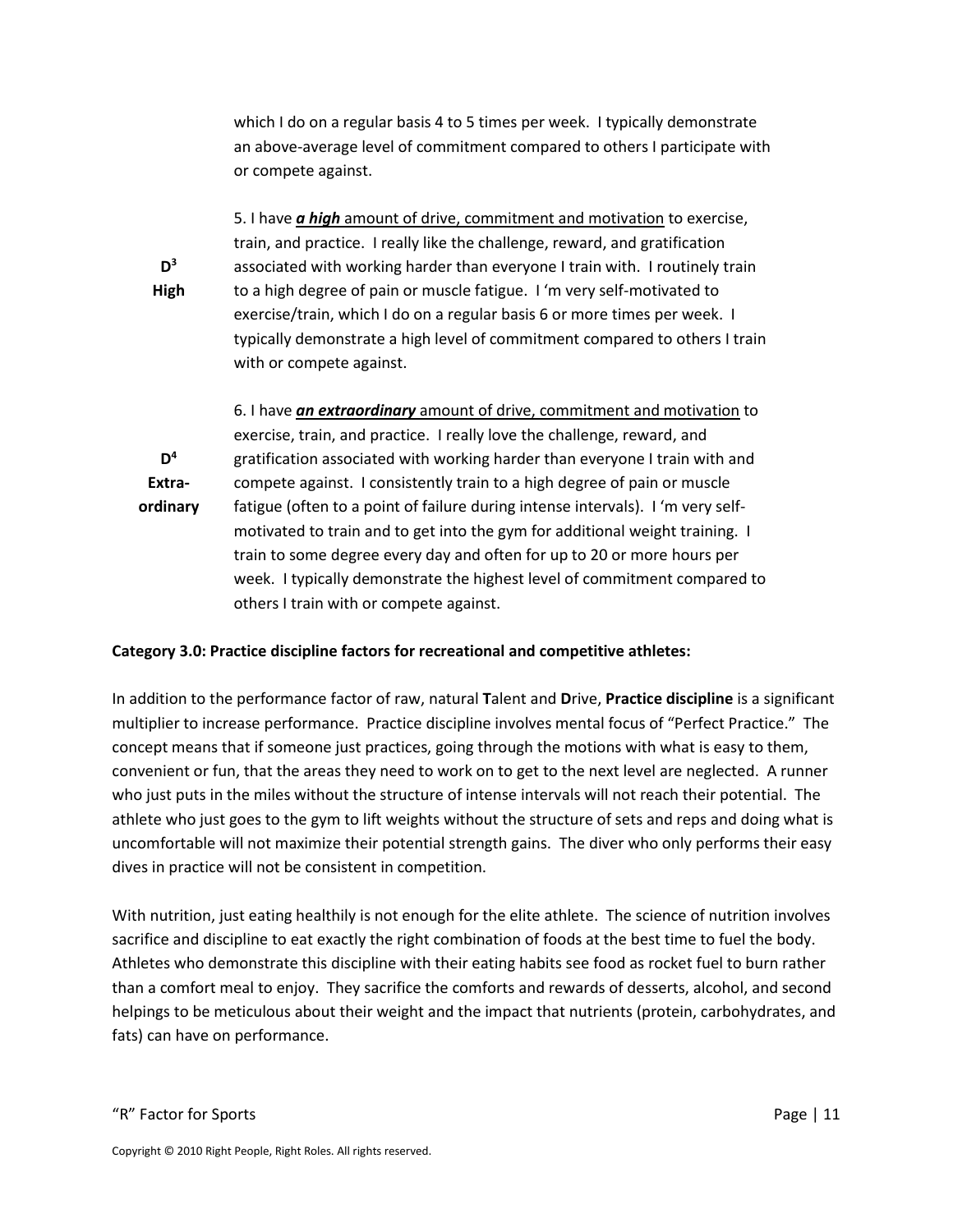which I do on a regular basis 4 to 5 times per week. I typically demonstrate an above-average level of commitment compared to others I participate with or compete against.

5. I have *a high* amount of drive, commitment and motivation to exercise, train, and practice. I really like the challenge, reward, and gratification associated with working harder than everyone I train with. I routinely train to a high degree of pain or muscle fatigue. I 'm very self-motivated to exercise/train, which I do on a regular basis 6 or more times per week. I typically demonstrate a high level of commitment compared to others I train with or compete against.

**D 4 Extraordinary** 6. I have *an extraordinary* amount of drive, commitment and motivation to exercise, train, and practice. I really love the challenge, reward, and gratification associated with working harder than everyone I train with and compete against. I consistently train to a high degree of pain or muscle fatigue (often to a point of failure during intense intervals). I 'm very selfmotivated to train and to get into the gym for additional weight training. I train to some degree every day and often for up to 20 or more hours per week. I typically demonstrate the highest level of commitment compared to others I train with or compete against.

#### **Category 3.0: Practice discipline factors for recreational and competitive athletes:**

In addition to the performance factor of raw, natural **T**alent and **D**rive, **Practice discipline** is a significant multiplier to increase performance. Practice discipline involves mental focus of "Perfect Practice." The concept means that if someone just practices, going through the motions with what is easy to them, convenient or fun, that the areas they need to work on to get to the next level are neglected. A runner who just puts in the miles without the structure of intense intervals will not reach their potential. The athlete who just goes to the gym to lift weights without the structure of sets and reps and doing what is uncomfortable will not maximize their potential strength gains. The diver who only performs their easy dives in practice will not be consistent in competition.

With nutrition, just eating healthily is not enough for the elite athlete. The science of nutrition involves sacrifice and discipline to eat exactly the right combination of foods at the best time to fuel the body. Athletes who demonstrate this discipline with their eating habits see food as rocket fuel to burn rather than a comfort meal to enjoy. They sacrifice the comforts and rewards of desserts, alcohol, and second helpings to be meticulous about their weight and the impact that nutrients (protein, carbohydrates, and fats) can have on performance.

**D 3 High**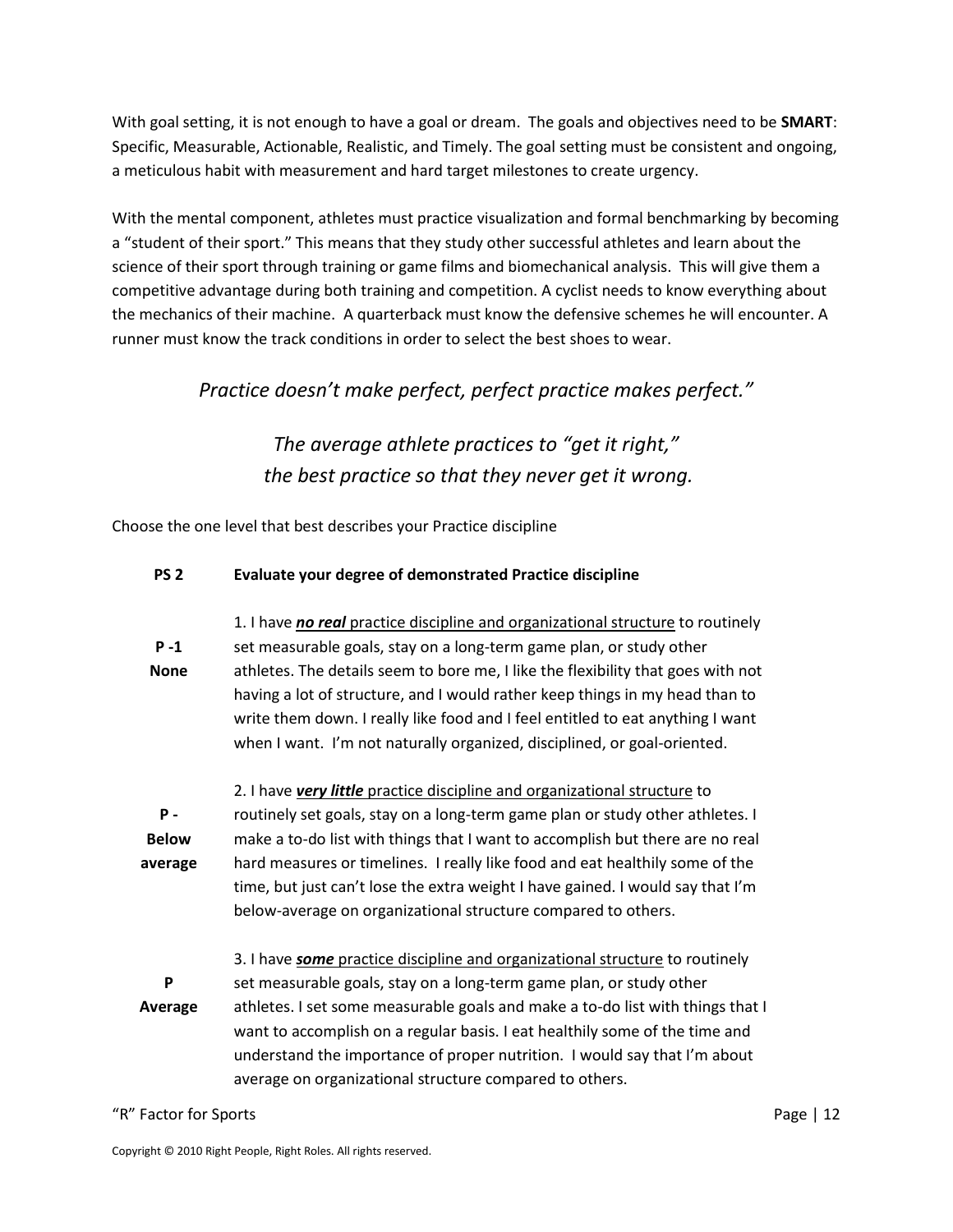With goal setting, it is not enough to have a goal or dream. The goals and objectives need to be **SMART**: Specific, Measurable, Actionable, Realistic, and Timely. The goal setting must be consistent and ongoing, a meticulous habit with measurement and hard target milestones to create urgency.

With the mental component, athletes must practice visualization and formal benchmarking by becoming a "student of their sport." This means that they study other successful athletes and learn about the science of their sport through training or game films and biomechanical analysis. This will give them a competitive advantage during both training and competition. A cyclist needs to know everything about the mechanics of their machine. A quarterback must know the defensive schemes he will encounter. A runner must know the track conditions in order to select the best shoes to wear.

*Practice doesn't make perfect, perfect practice makes perfect."*

*The average athlete practices to "get it right," the best practice so that they never get it wrong.*

Choose the one level that best describes your Practice discipline

#### **PS 2 Evaluate your degree of demonstrated Practice discipline**

**P -1 None** 1. I have *no real* practice discipline and organizational structure to routinely set measurable goals, stay on a long-term game plan, or study other athletes. The details seem to bore me, I like the flexibility that goes with not having a lot of structure, and I would rather keep things in my head than to write them down. I really like food and I feel entitled to eat anything I want when I want. I'm not naturally organized, disciplined, or goal-oriented. **P - Below average** 2. I have *very little* practice discipline and organizational structure to routinely set goals, stay on a long-term game plan or study other athletes. I make a to-do list with things that I want to accomplish but there are no real hard measures or timelines. I really like food and eat healthily some of the time, but just can't lose the extra weight I have gained. I would say that I'm below-average on organizational structure compared to others. **P Average** 3. I have *some* practice discipline and organizational structure to routinely set measurable goals, stay on a long-term game plan, or study other athletes. I set some measurable goals and make a to-do list with things that I

want to accomplish on a regular basis. I eat healthily some of the time and understand the importance of proper nutrition. I would say that I'm about average on organizational structure compared to others.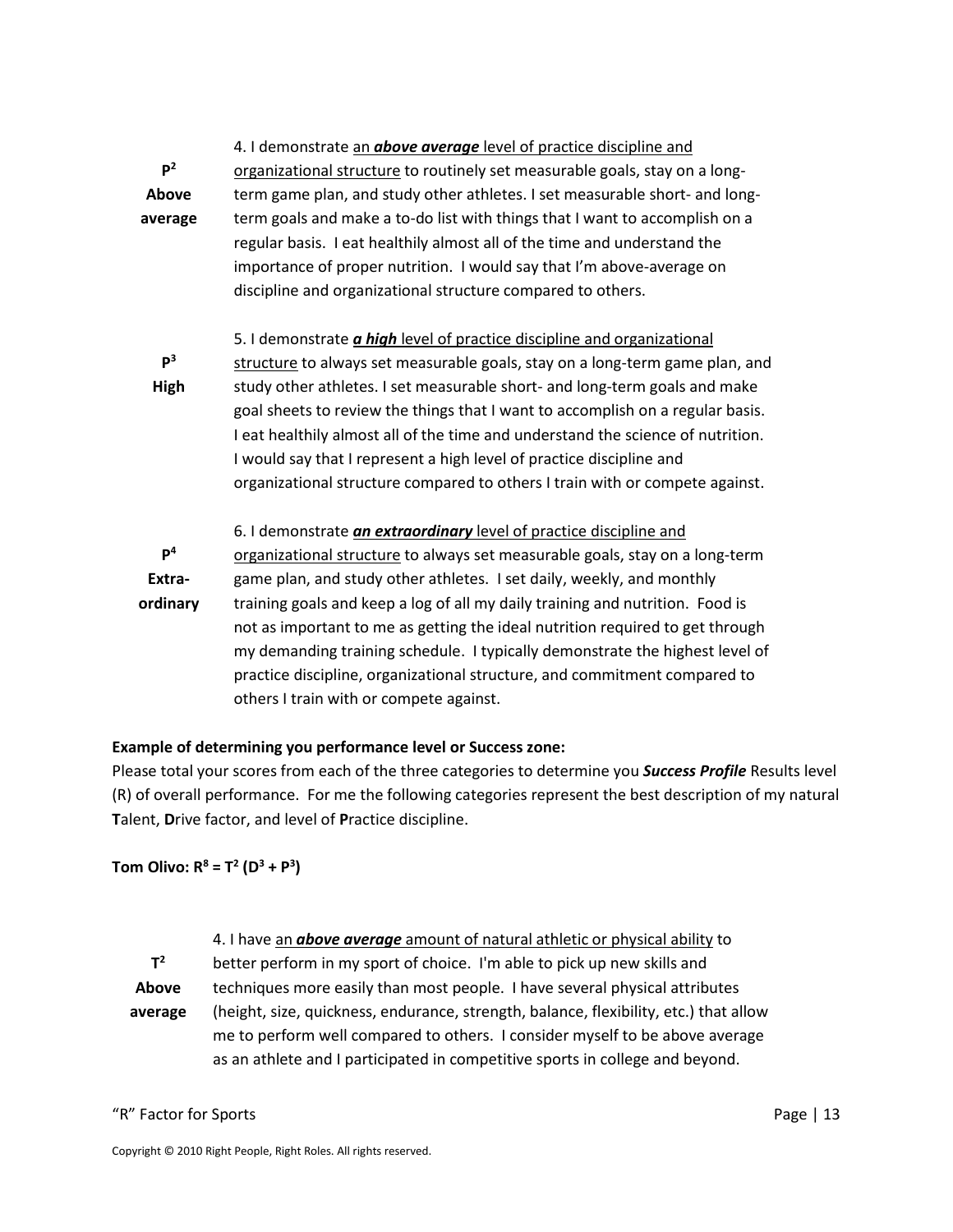| $\mathbf{P}^2$<br>Above<br>average   | 4. I demonstrate an <b>above average</b> level of practice discipline and<br>organizational structure to routinely set measurable goals, stay on a long-<br>term game plan, and study other athletes. I set measurable short- and long-<br>term goals and make a to-do list with things that I want to accomplish on a<br>regular basis. I eat healthily almost all of the time and understand the<br>importance of proper nutrition. I would say that I'm above-average on<br>discipline and organizational structure compared to others.                                                                   |
|--------------------------------------|--------------------------------------------------------------------------------------------------------------------------------------------------------------------------------------------------------------------------------------------------------------------------------------------------------------------------------------------------------------------------------------------------------------------------------------------------------------------------------------------------------------------------------------------------------------------------------------------------------------|
| P <sup>3</sup><br>High               | 5. I demonstrate <i>a high</i> level of practice discipline and organizational<br>structure to always set measurable goals, stay on a long-term game plan, and<br>study other athletes. I set measurable short- and long-term goals and make<br>goal sheets to review the things that I want to accomplish on a regular basis.<br>I eat healthily almost all of the time and understand the science of nutrition.<br>I would say that I represent a high level of practice discipline and<br>organizational structure compared to others I train with or compete against.                                    |
| $\mathsf{P}^4$<br>Extra-<br>ordinary | 6. I demonstrate <i>an extraordinary</i> level of practice discipline and<br>organizational structure to always set measurable goals, stay on a long-term<br>game plan, and study other athletes. I set daily, weekly, and monthly<br>training goals and keep a log of all my daily training and nutrition. Food is<br>not as important to me as getting the ideal nutrition required to get through<br>my demanding training schedule. I typically demonstrate the highest level of<br>practice discipline, organizational structure, and commitment compared to<br>others I train with or compete against. |

#### **Example of determining you performance level or Success zone:**

Please total your scores from each of the three categories to determine you *Success Profile* Results level (R) of overall performance. For me the following categories represent the best description of my natural **T**alent, **D**rive factor, and level of **P**ractice discipline.

#### **Tom Olivo: R<sup>8</sup> = T<sup>2</sup> (D<sup>3</sup> + P<sup>3</sup> )**

|         | 4. I have an <b>above average</b> amount of natural athletic or physical ability to   |
|---------|---------------------------------------------------------------------------------------|
| $T^2$   | better perform in my sport of choice. I'm able to pick up new skills and              |
| Above   | techniques more easily than most people. I have several physical attributes           |
| average | (height, size, quickness, endurance, strength, balance, flexibility, etc.) that allow |
|         | me to perform well compared to others. I consider myself to be above average          |
|         | as an athlete and I participated in competitive sports in college and beyond.         |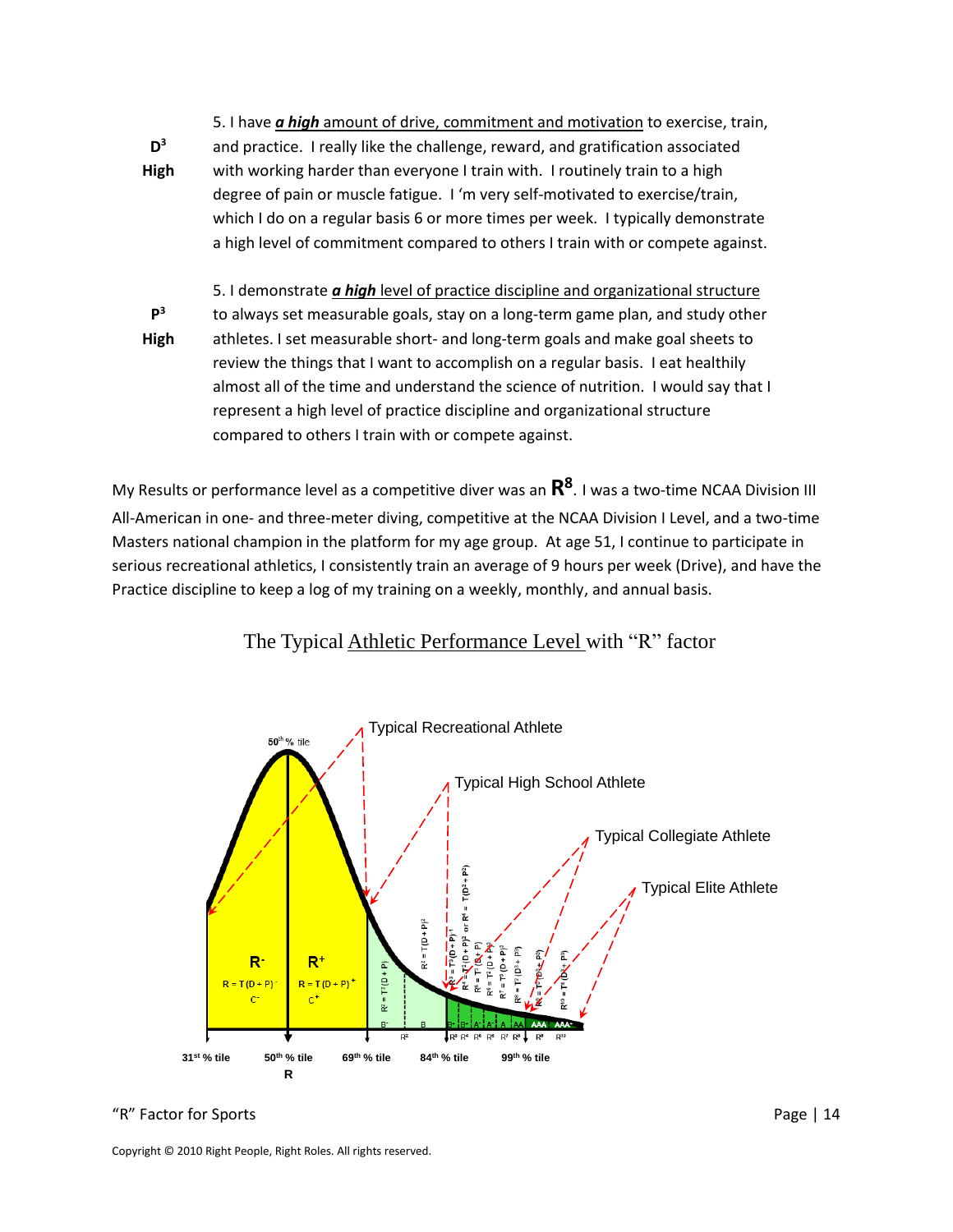**D 3 High** 5. I have *a high* amount of drive, commitment and motivation to exercise, train, and practice. I really like the challenge, reward, and gratification associated with working harder than everyone I train with. I routinely train to a high degree of pain or muscle fatigue. I 'm very self-motivated to exercise/train, which I do on a regular basis 6 or more times per week. I typically demonstrate a high level of commitment compared to others I train with or compete against. **P 3 High** 5. I demonstrate *a high* level of practice discipline and organizational structure to always set measurable goals, stay on a long-term game plan, and study other athletes. I set measurable short- and long-term goals and make goal sheets to review the things that I want to accomplish on a regular basis. I eat healthily

almost all of the time and understand the science of nutrition. I would say that I represent a high level of practice discipline and organizational structure compared to others I train with or compete against.

My Results or performance level as a competitive diver was an **R 8** . I was a two-time NCAA Division III All-American in one- and three-meter diving, competitive at the NCAA Division I Level, and a two-time Masters national champion in the platform for my age group. At age 51, I continue to participate in serious recreational athletics, I consistently train an average of 9 hours per week (Drive), and have the Practice discipline to keep a log of my training on a weekly, monthly, and annual basis.

The Typical Athletic Performance Level with "R" factor



"R" Factor for Sports Page | 14

Copyright © 2010 Right People, Right Roles. All rights reserved.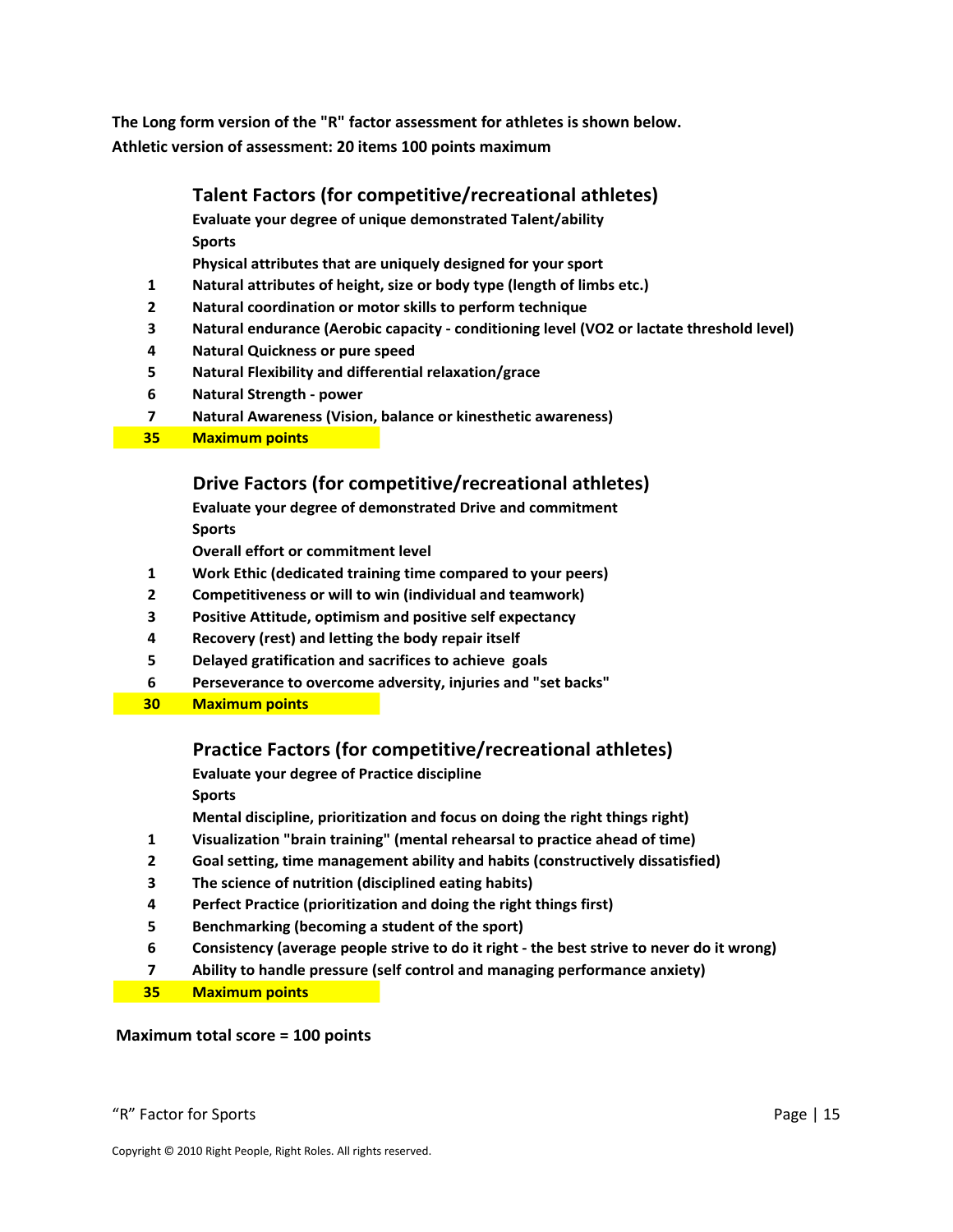**The Long form version of the "R" factor assessment for athletes is shown below. Athletic version of assessment: 20 items 100 points maximum**

#### **Talent Factors (for competitive/recreational athletes)**

**Evaluate your degree of unique demonstrated Talent/ability Sports**

**Physical attributes that are uniquely designed for your sport**

- **1 Natural attributes of height, size or body type (length of limbs etc.)**
- **2 Natural coordination or motor skills to perform technique**
- **3 Natural endurance (Aerobic capacity conditioning level (VO2 or lactate threshold level)**
- **4 Natural Quickness or pure speed**
- **5 Natural Flexibility and differential relaxation/grace**
- **6 Natural Strength power**
- **7 Natural Awareness (Vision, balance or kinesthetic awareness)**
- **35 Maximum points**

#### **Drive Factors (for competitive/recreational athletes)**

**Evaluate your degree of demonstrated Drive and commitment Sports**

**Overall effort or commitment level**

- **1 Work Ethic (dedicated training time compared to your peers)**
- **2 Competitiveness or will to win (individual and teamwork)**
- **3 Positive Attitude, optimism and positive self expectancy**
- **4 Recovery (rest) and letting the body repair itself**
- **5 Delayed gratification and sacrifices to achieve goals**
- **6 Perseverance to overcome adversity, injuries and "set backs"**
- **30 Maximum points**

### **Practice Factors (for competitive/recreational athletes)**

**Evaluate your degree of Practice discipline**

**Sports**

**Mental discipline, prioritization and focus on doing the right things right)**

- **1 Visualization "brain training" (mental rehearsal to practice ahead of time)**
- **2 Goal setting, time management ability and habits (constructively dissatisfied)**
- **3 The science of nutrition (disciplined eating habits)**
- **4 Perfect Practice (prioritization and doing the right things first)**
- **5 Benchmarking (becoming a student of the sport)**
- **6 Consistency (average people strive to do it right the best strive to never do it wrong)**
- **7 Ability to handle pressure (self control and managing performance anxiety)**
- **35 Maximum points**

#### **Maximum total score = 100 points**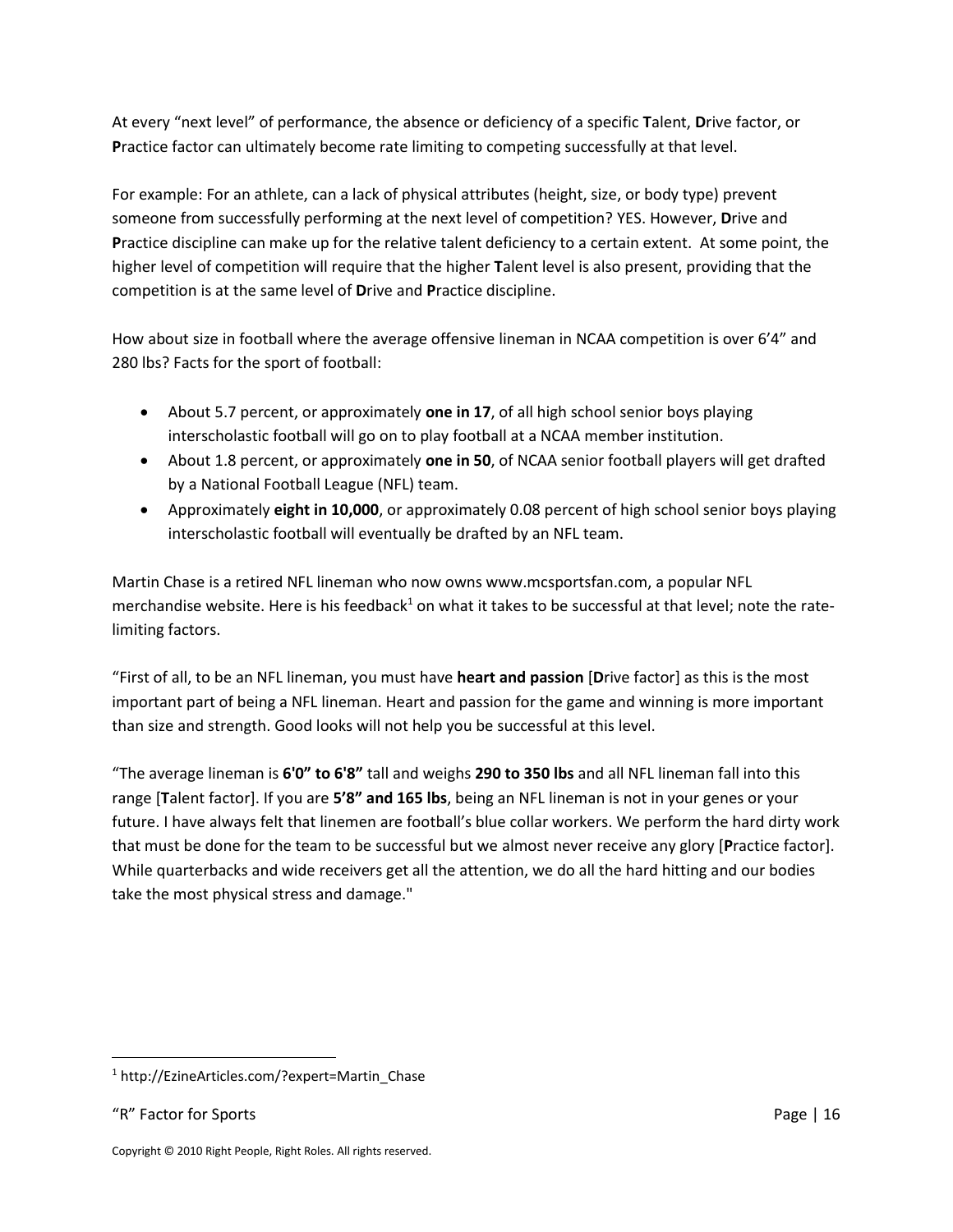At every "next level" of performance, the absence or deficiency of a specific **T**alent, **D**rive factor, or **P**ractice factor can ultimately become rate limiting to competing successfully at that level.

For example: For an athlete, can a lack of physical attributes (height, size, or body type) prevent someone from successfully performing at the next level of competition? YES. However, **D**rive and **P**ractice discipline can make up for the relative talent deficiency to a certain extent. At some point, the higher level of competition will require that the higher **T**alent level is also present, providing that the competition is at the same level of **D**rive and **P**ractice discipline.

How about size in football where the average offensive lineman in NCAA competition is over 6'4" and 280 lbs? Facts for the sport of football:

- About 5.7 percent, or approximately **one in 17**, of all high school senior boys playing interscholastic football will go on to play football at a NCAA member institution.
- About 1.8 percent, or approximately **one in 50**, of NCAA senior football players will get drafted by a National Football League (NFL) team.
- Approximately **eight in 10,000**, or approximately 0.08 percent of high school senior boys playing interscholastic football will eventually be drafted by an NFL team.

Martin Chase is a retired NFL lineman who now owns www.mcsportsfan.com, a popular NFL merchandise website. Here is his feedback<sup>1</sup> on what it takes to be successful at that level; note the ratelimiting factors.

"First of all, to be an NFL lineman, you must have **heart and passion** [**D**rive factor] as this is the most important part of being a NFL lineman. Heart and passion for the game and winning is more important than size and strength. Good looks will not help you be successful at this level.

"The average lineman is **6'0" to 6'8"** tall and weighs **290 to 350 lbs** and all NFL lineman fall into this range [**T**alent factor]. If you are **5'8" and 165 lbs**, being an NFL lineman is not in your genes or your future. I have always felt that linemen are football's blue collar workers. We perform the hard dirty work that must be done for the team to be successful but we almost never receive any glory [**P**ractice factor]. While quarterbacks and wide receivers get all the attention, we do all the hard hitting and our bodies take the most physical stress and damage."

 $\overline{\phantom{a}}$ 

<sup>1</sup> http://EzineArticles.com/?expert=Martin\_Chase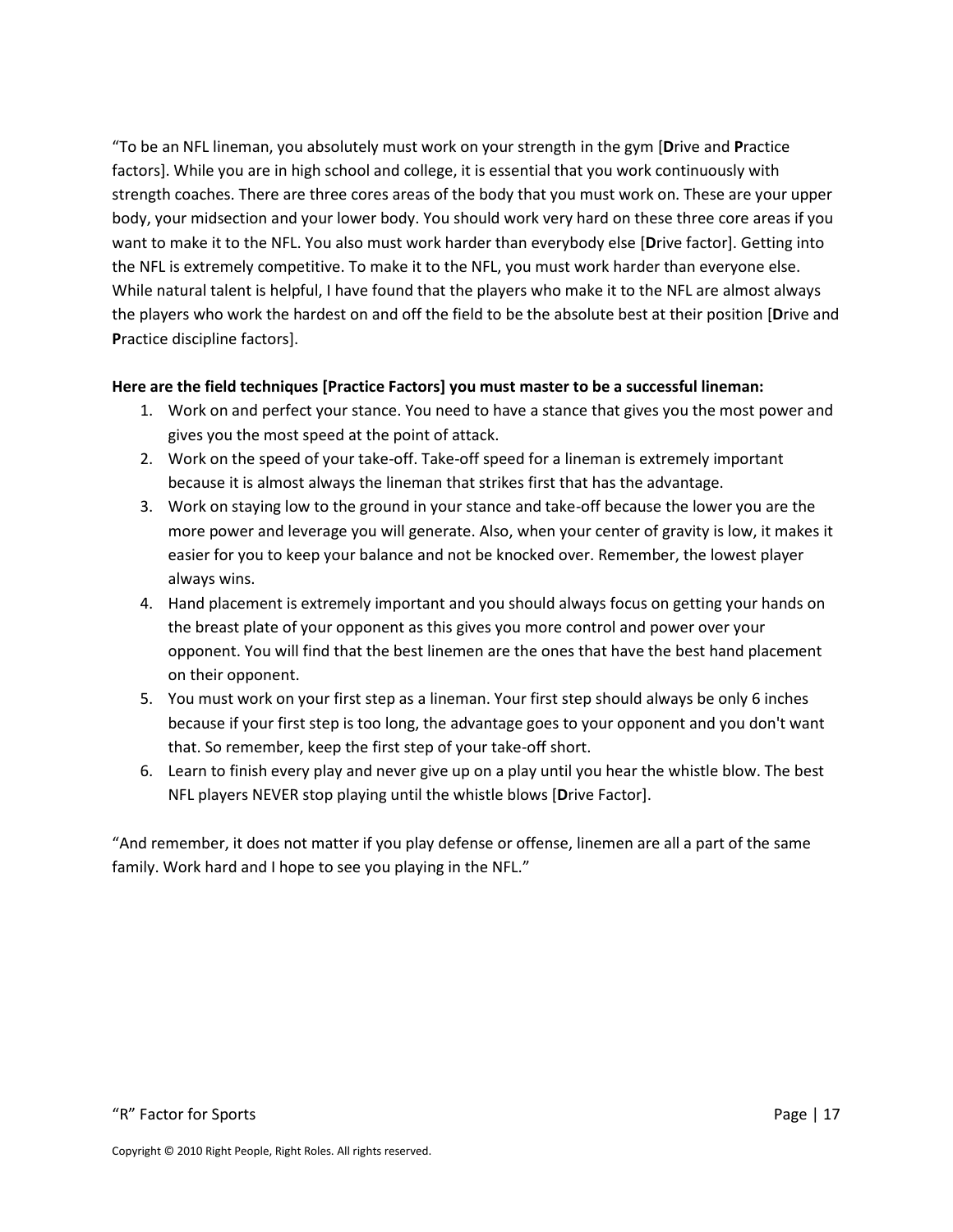"To be an NFL lineman, you absolutely must work on your strength in the gym [**D**rive and **P**ractice factors]. While you are in high school and college, it is essential that you work continuously with strength coaches. There are three cores areas of the body that you must work on. These are your upper body, your midsection and your lower body. You should work very hard on these three core areas if you want to make it to the NFL. You also must work harder than everybody else [**D**rive factor]. Getting into the NFL is extremely competitive. To make it to the NFL, you must work harder than everyone else. While natural talent is helpful, I have found that the players who make it to the NFL are almost always the players who work the hardest on and off the field to be the absolute best at their position [**D**rive and **P**ractice discipline factors].

#### **Here are the field techniques [Practice Factors] you must master to be a successful lineman:**

- 1. Work on and perfect your stance. You need to have a stance that gives you the most power and gives you the most speed at the point of attack.
- 2. Work on the speed of your take-off. Take-off speed for a lineman is extremely important because it is almost always the lineman that strikes first that has the advantage.
- 3. Work on staying low to the ground in your stance and take-off because the lower you are the more power and leverage you will generate. Also, when your center of gravity is low, it makes it easier for you to keep your balance and not be knocked over. Remember, the lowest player always wins.
- 4. Hand placement is extremely important and you should always focus on getting your hands on the breast plate of your opponent as this gives you more control and power over your opponent. You will find that the best linemen are the ones that have the best hand placement on their opponent.
- 5. You must work on your first step as a lineman. Your first step should always be only 6 inches because if your first step is too long, the advantage goes to your opponent and you don't want that. So remember, keep the first step of your take-off short.
- 6. Learn to finish every play and never give up on a play until you hear the whistle blow. The best NFL players NEVER stop playing until the whistle blows [**D**rive Factor].

"And remember, it does not matter if you play defense or offense, linemen are all a part of the same family. Work hard and I hope to see you playing in the NFL."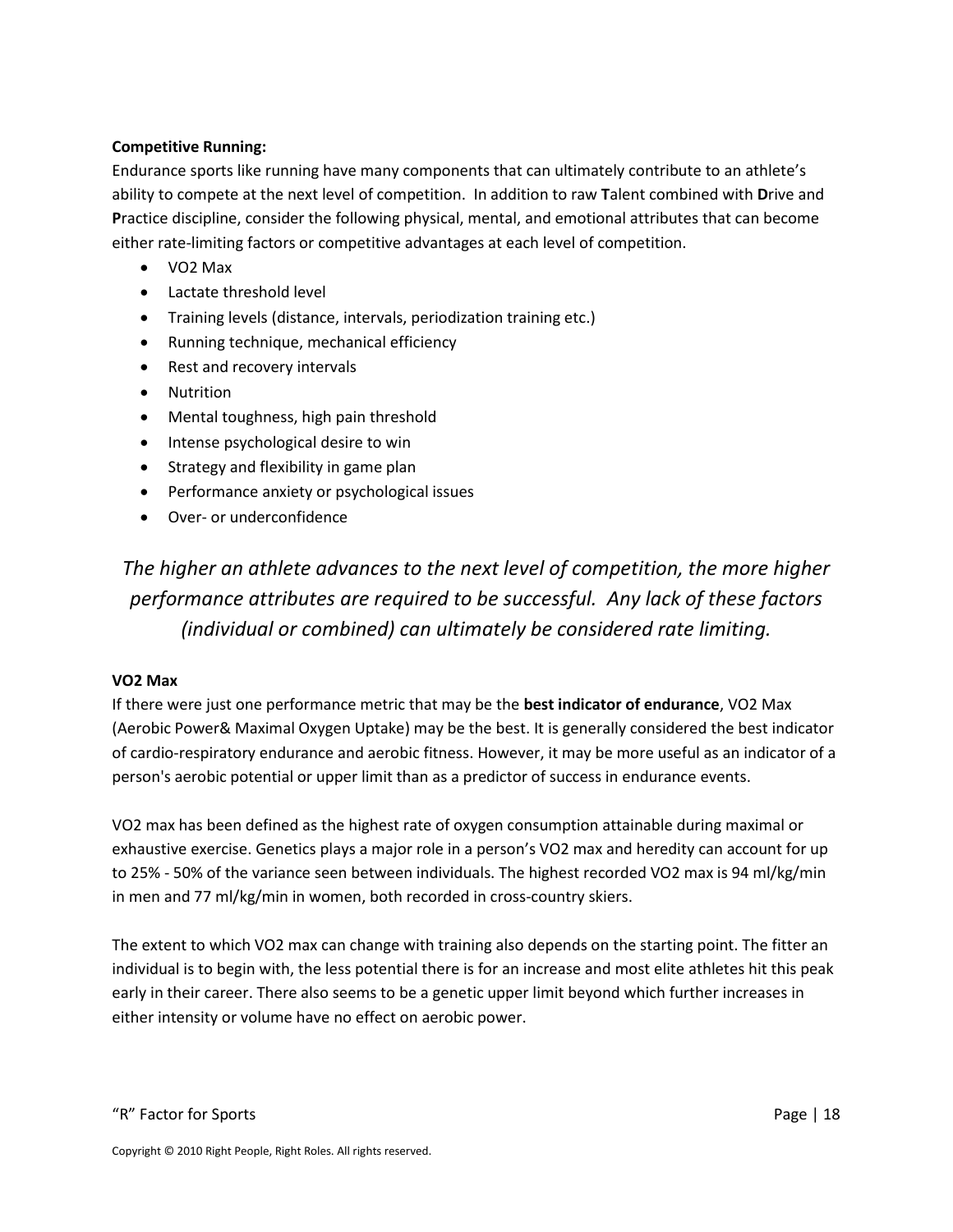#### **Competitive Running:**

Endurance sports like running have many components that can ultimately contribute to an athlete's ability to compete at the next level of competition. In addition to raw **T**alent combined with **D**rive and **P**ractice discipline, consider the following physical, mental, and emotional attributes that can become either rate-limiting factors or competitive advantages at each level of competition.

- VO2 Max
- Lactate threshold level
- Training levels (distance, intervals, periodization training etc.)
- Running technique, mechanical efficiency
- Rest and recovery intervals
- Nutrition
- Mental toughness, high pain threshold
- Intense psychological desire to win
- Strategy and flexibility in game plan
- Performance anxiety or psychological issues
- Over- or underconfidence

*The higher an athlete advances to the next level of competition, the more higher performance attributes are required to be successful. Any lack of these factors (individual or combined) can ultimately be considered rate limiting.*

#### **VO2 Max**

If there were just one performance metric that may be the **best indicator of endurance**, VO2 Max (Aerobic Power& Maximal Oxygen Uptake) may be the best. It is generally considered the best indicator of cardio-respiratory endurance and aerobic fitness. However, it may be more useful as an indicator of a person's aerobic potential or upper limit than as a predictor of success in endurance events.

VO2 max has been defined as the highest rate of oxygen consumption attainable during maximal or exhaustive exercise. Genetics plays a major role in a person's VO2 max and heredity can account for up to 25% - 50% of the variance seen between individuals. The highest recorded VO2 max is 94 ml/kg/min in men and 77 ml/kg/min in women, both recorded in cross-country skiers.

The extent to which VO2 max can change with training also depends on the starting point. The fitter an individual is to begin with, the less potential there is for an increase and most elite athletes hit this peak early in their career. There also seems to be a genetic upper limit beyond which further increases in either intensity or volume have no effect on aerobic power.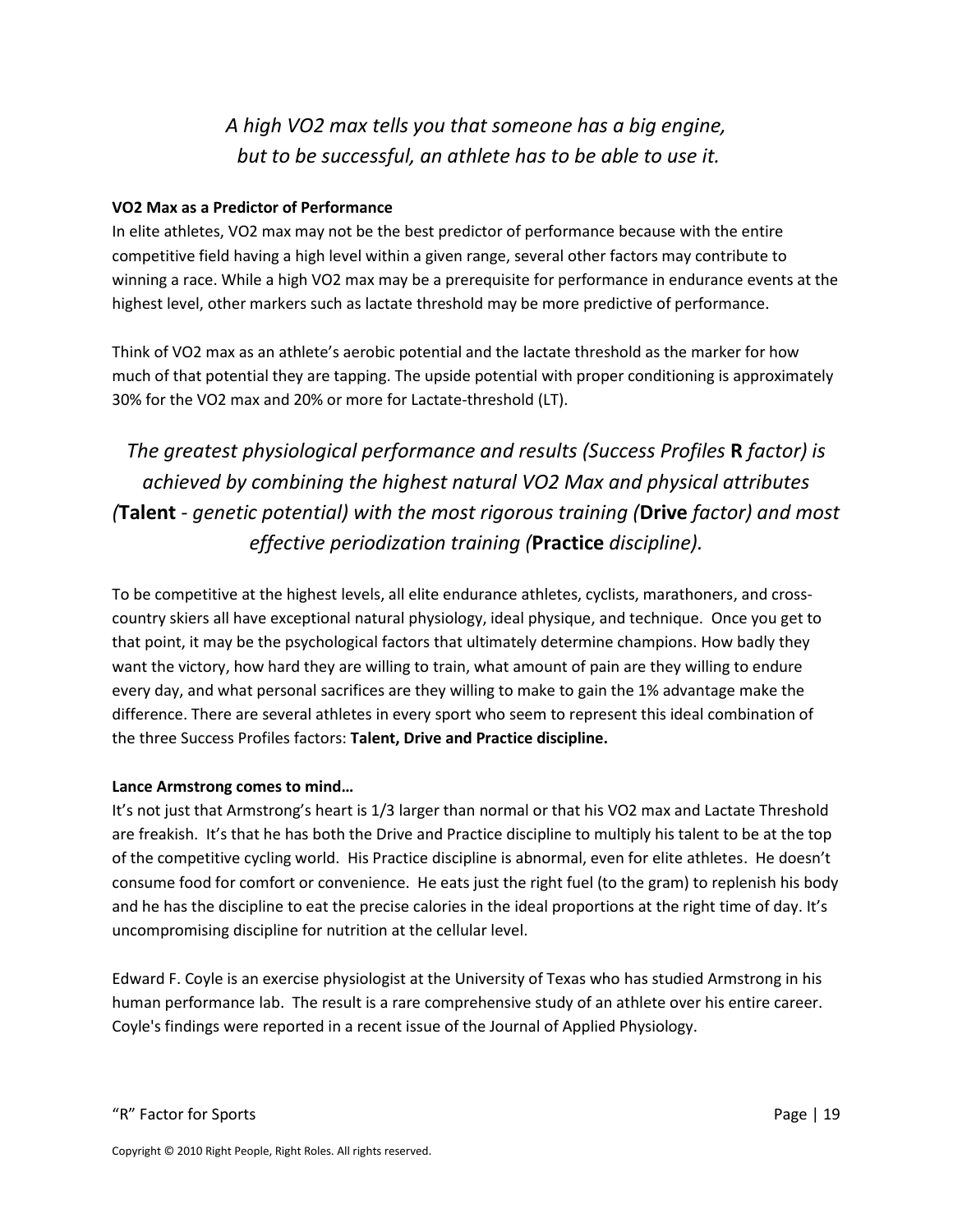# *A high VO2 max tells you that someone has a big engine, but to be successful, an athlete has to be able to use it.*

#### **VO2 Max as a Predictor of Performance**

In elite athletes, VO2 max may not be the best predictor of performance because with the entire competitive field having a high level within a given range, several other factors may contribute to winning a race. While a high VO2 max may be a prerequisite for performance in endurance events at the highest level, other markers such as lactate threshold may be more predictive of performance.

Think of VO2 max as an athlete's aerobic potential and the lactate threshold as the marker for how much of that potential they are tapping. The upside potential with proper conditioning is approximately 30% for the VO2 max and 20% or more for Lactate-threshold (LT).

# *The greatest physiological performance and results (Success Profiles* **R** *factor) is achieved by combining the highest natural VO2 Max and physical attributes (***Talent** *- genetic potential) with the most rigorous training (***Drive** *factor) and most effective periodization training (***Practice** *discipline).*

To be competitive at the highest levels, all elite endurance athletes, cyclists, marathoners, and crosscountry skiers all have exceptional natural physiology, ideal physique, and technique. Once you get to that point, it may be the psychological factors that ultimately determine champions. How badly they want the victory, how hard they are willing to train, what amount of pain are they willing to endure every day, and what personal sacrifices are they willing to make to gain the 1% advantage make the difference. There are several athletes in every sport who seem to represent this ideal combination of the three Success Profiles factors: **Talent, Drive and Practice discipline.**

#### **Lance Armstrong comes to mind…**

It's not just that Armstrong's heart is 1/3 larger than normal or that his VO2 max and Lactate Threshold are freakish. It's that he has both the Drive and Practice discipline to multiply his talent to be at the top of the competitive cycling world. His Practice discipline is abnormal, even for elite athletes. He doesn't consume food for comfort or convenience. He eats just the right fuel (to the gram) to replenish his body and he has the discipline to eat the precise calories in the ideal proportions at the right time of day. It's uncompromising discipline for nutrition at the cellular level.

Edward F. Coyle is an exercise physiologist at the University of Texas who has studied Armstrong in his human performance lab. The result is a rare comprehensive study of an athlete over his entire career. Coyle's findings were reported in a recent issue of the Journal of Applied Physiology.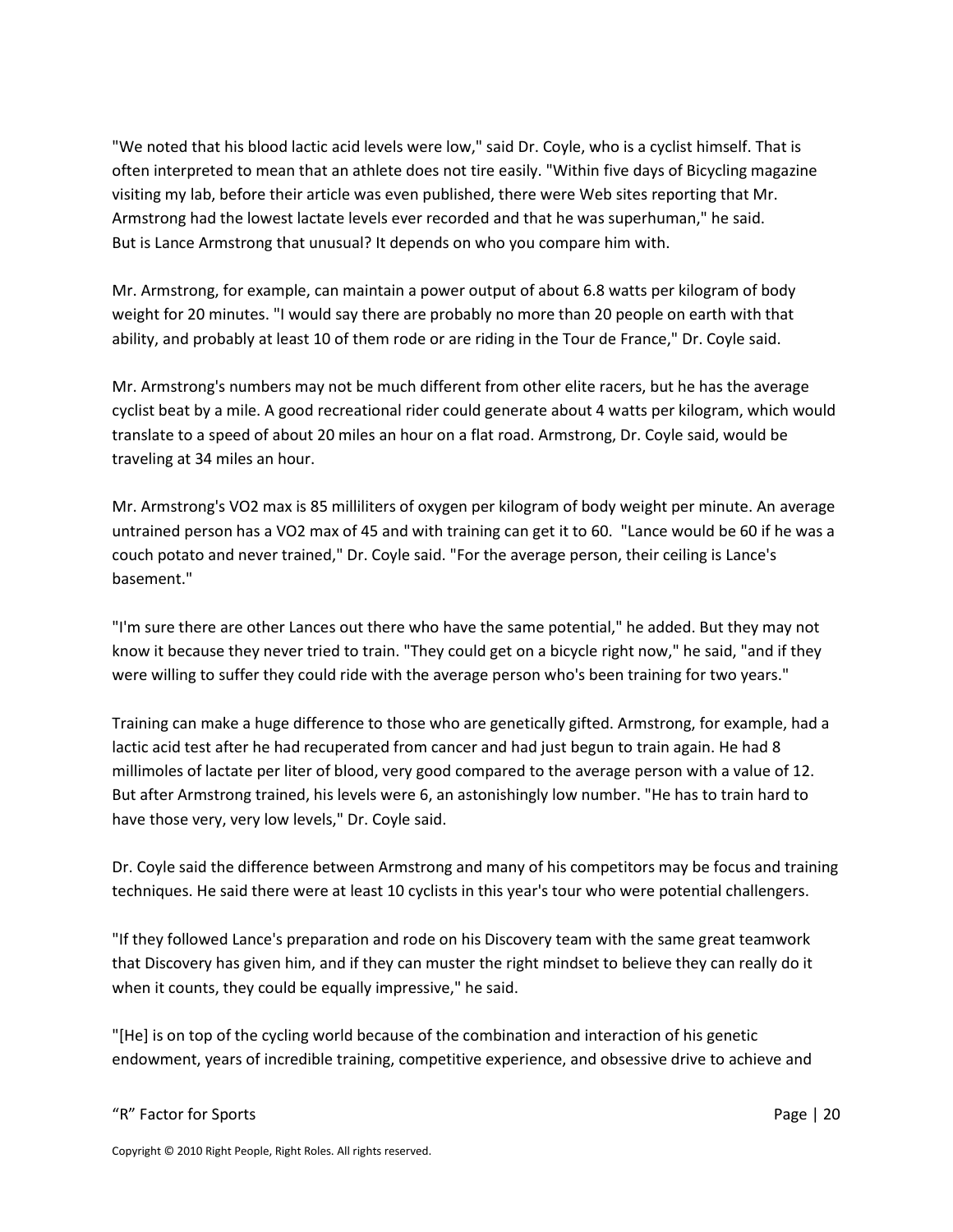"We noted that his blood lactic acid levels were low," said Dr. Coyle, who is a cyclist himself. That is often interpreted to mean that an athlete does not tire easily. "Within five days of Bicycling magazine visiting my lab, before their article was even published, there were Web sites reporting that Mr. Armstrong had the lowest lactate levels ever recorded and that he was superhuman," he said. But is Lance Armstrong that unusual? It depends on who you compare him with.

Mr. Armstrong, for example, can maintain a power output of about 6.8 watts per kilogram of body weight for 20 minutes. "I would say there are probably no more than 20 people on earth with that ability, and probably at least 10 of them rode or are riding in the Tour de France," Dr. Coyle said.

Mr. Armstrong's numbers may not be much different from other elite racers, but he has the average cyclist beat by a mile. A good recreational rider could generate about 4 watts per kilogram, which would translate to a speed of about 20 miles an hour on a flat road. Armstrong, Dr. Coyle said, would be traveling at 34 miles an hour.

Mr. Armstrong's VO2 max is 85 milliliters of oxygen per kilogram of body weight per minute. An average untrained person has a VO2 max of 45 and with training can get it to 60. "Lance would be 60 if he was a couch potato and never trained," Dr. Coyle said. "For the average person, their ceiling is Lance's basement."

"I'm sure there are other Lances out there who have the same potential," he added. But they may not know it because they never tried to train. "They could get on a bicycle right now," he said, "and if they were willing to suffer they could ride with the average person who's been training for two years."

Training can make a huge difference to those who are genetically gifted. Armstrong, for example, had a lactic acid test after he had recuperated from cancer and had just begun to train again. He had 8 millimoles of lactate per liter of blood, very good compared to the average person with a value of 12. But after Armstrong trained, his levels were 6, an astonishingly low number. "He has to train hard to have those very, very low levels," Dr. Coyle said.

Dr. Coyle said the difference between Armstrong and many of his competitors may be focus and training techniques. He said there were at least 10 cyclists in this year's tour who were potential challengers.

"If they followed Lance's preparation and rode on his Discovery team with the same great teamwork that Discovery has given him, and if they can muster the right mindset to believe they can really do it when it counts, they could be equally impressive," he said.

"[He] is on top of the cycling world because of the combination and interaction of his genetic endowment, years of incredible training, competitive experience, and obsessive drive to achieve and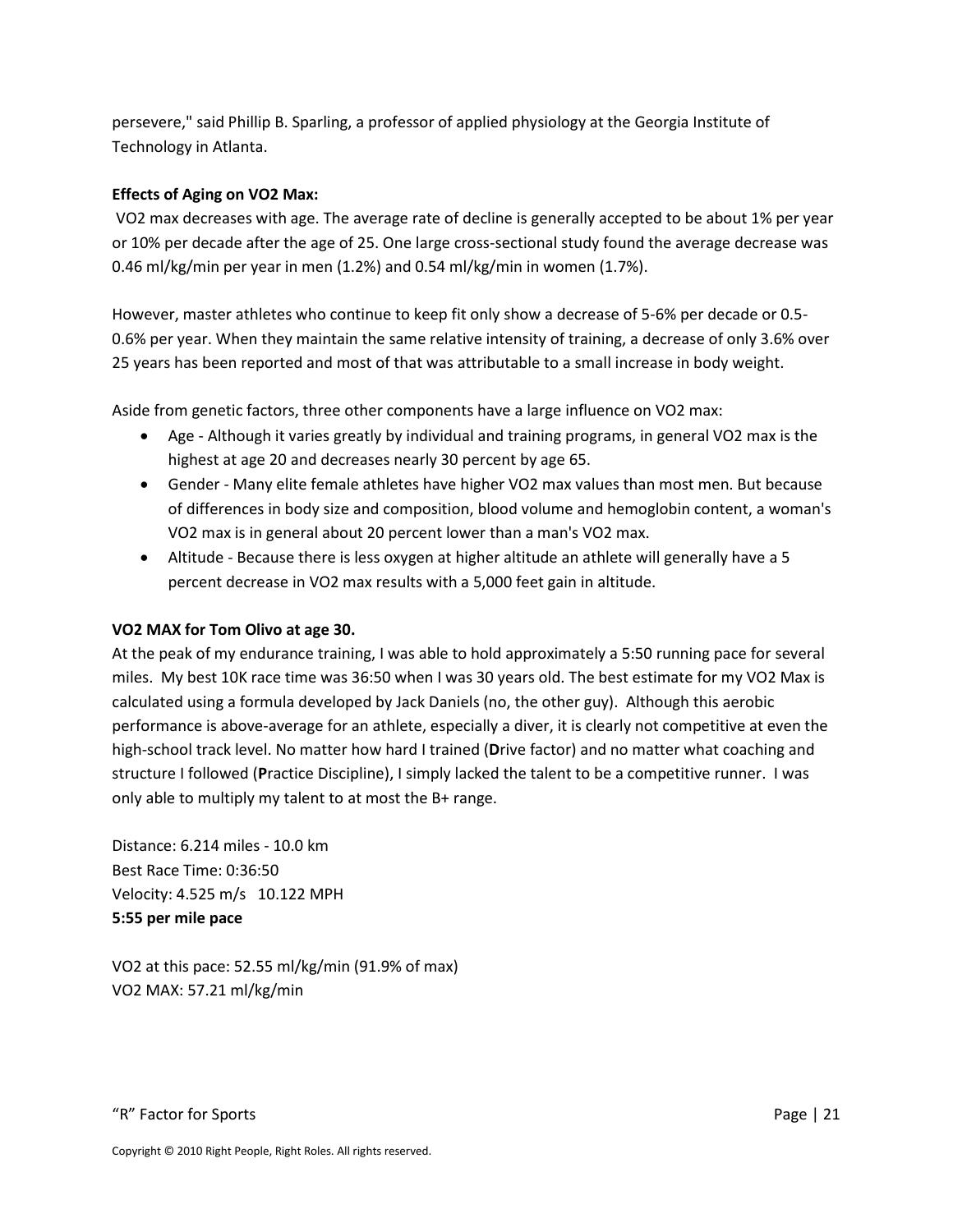persevere," said Phillip B. Sparling, a professor of applied physiology at the Georgia Institute of Technology in Atlanta.

#### **Effects of Aging on VO2 Max:**

VO2 max decreases with age. The average rate of decline is generally accepted to be about 1% per year or 10% per decade after the age of 25. One large cross-sectional study found the average decrease was 0.46 ml/kg/min per year in men (1.2%) and 0.54 ml/kg/min in women (1.7%).

However, master athletes who continue to keep fit only show a decrease of 5-6% per decade or 0.5- 0.6% per year. When they maintain the same relative intensity of training, a decrease of only 3.6% over 25 years has been reported and most of that was attributable to a small increase in body weight.

Aside from genetic factors, three other components have a large influence on VO2 max:

- Age Although it varies greatly by individual and training programs, in general VO2 max is the highest at age 20 and decreases nearly 30 percent by age 65.
- Gender Many elite female athletes have higher VO2 max values than most men. But because of differences in body size and composition, blood volume and hemoglobin content, a woman's VO2 max is in general about 20 percent lower than a man's VO2 max.
- Altitude Because there is less oxygen at higher altitude an athlete will generally have a 5 percent decrease in VO2 max results with a 5,000 feet gain in altitude.

#### **VO2 MAX for Tom Olivo at age 30.**

At the peak of my endurance training, I was able to hold approximately a 5:50 running pace for several miles. My best 10K race time was 36:50 when I was 30 years old. The best estimate for my VO2 Max is calculated using a formula developed by Jack Daniels (no, the other guy). Although this aerobic performance is above-average for an athlete, especially a diver, it is clearly not competitive at even the high-school track level. No matter how hard I trained (**D**rive factor) and no matter what coaching and structure I followed (**P**ractice Discipline), I simply lacked the talent to be a competitive runner. I was only able to multiply my talent to at most the B+ range.

Distance: 6.214 miles - 10.0 km Best Race Time: 0:36:50 Velocity: 4.525 m/s 10.122 MPH **5:55 per mile pace**

VO2 at this pace: 52.55 ml/kg/min (91.9% of max) VO2 MAX: 57.21 ml/kg/min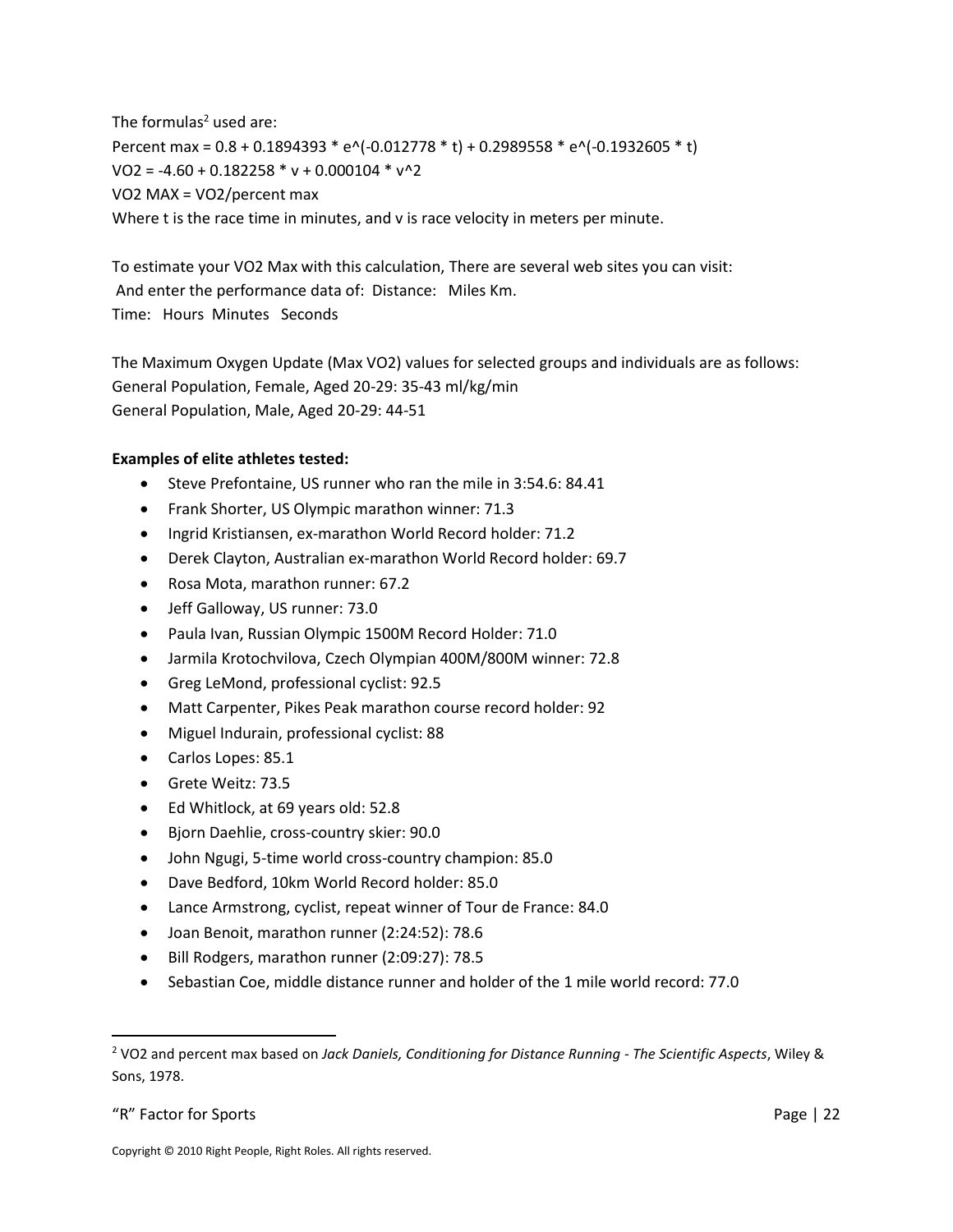The formulas $2$  used are: Percent max = 0.8 + 0.1894393 \* e^(-0.012778 \* t) + 0.2989558 \* e^(-0.1932605 \* t)  $VO2 = -4.60 + 0.182258 * v + 0.000104 * v^2$ VO2 MAX = VO2/percent max Where t is the race time in minutes, and v is race velocity in meters per minute.

To estimate your VO2 Max with this calculation, There are several web sites you can visit: And enter the performance data of: Distance: Miles Km. Time: Hours Minutes Seconds

The Maximum Oxygen Update (Max VO2) values for selected groups and individuals are as follows: General Population, Female, Aged 20-29: 35-43 ml/kg/min General Population, Male, Aged 20-29: 44-51

#### **Examples of elite athletes tested:**

- Steve Prefontaine, US runner who ran the mile in 3:54.6: 84.41
- Frank Shorter, US Olympic marathon winner: 71.3
- Ingrid Kristiansen, ex-marathon World Record holder: 71.2
- Derek Clayton, Australian ex-marathon World Record holder: 69.7
- Rosa Mota, marathon runner: 67.2
- Jeff Galloway, US runner: 73.0
- Paula Ivan, Russian Olympic 1500M Record Holder: 71.0
- Jarmila Krotochvilova, Czech Olympian 400M/800M winner: 72.8
- Greg LeMond, professional cyclist: 92.5
- Matt Carpenter, Pikes Peak marathon course record holder: 92
- Miguel Indurain, professional cyclist: 88
- Carlos Lopes: 85.1
- Grete Weitz: 73.5
- Ed Whitlock, at 69 years old: 52.8
- Bjorn Daehlie, cross-country skier: 90.0
- John Ngugi, 5-time world cross-country champion: 85.0
- Dave Bedford, 10km World Record holder: 85.0
- Lance Armstrong, cyclist, repeat winner of Tour de France: 84.0
- Joan Benoit, marathon runner (2:24:52): 78.6
- Bill Rodgers, marathon runner (2:09:27): 78.5
- Sebastian Coe, middle distance runner and holder of the 1 mile world record: 77.0

l

<sup>2</sup> VO2 and percent max based on *Jack Daniels, Conditioning for Distance Running - The Scientific Aspects*, Wiley & Sons, 1978.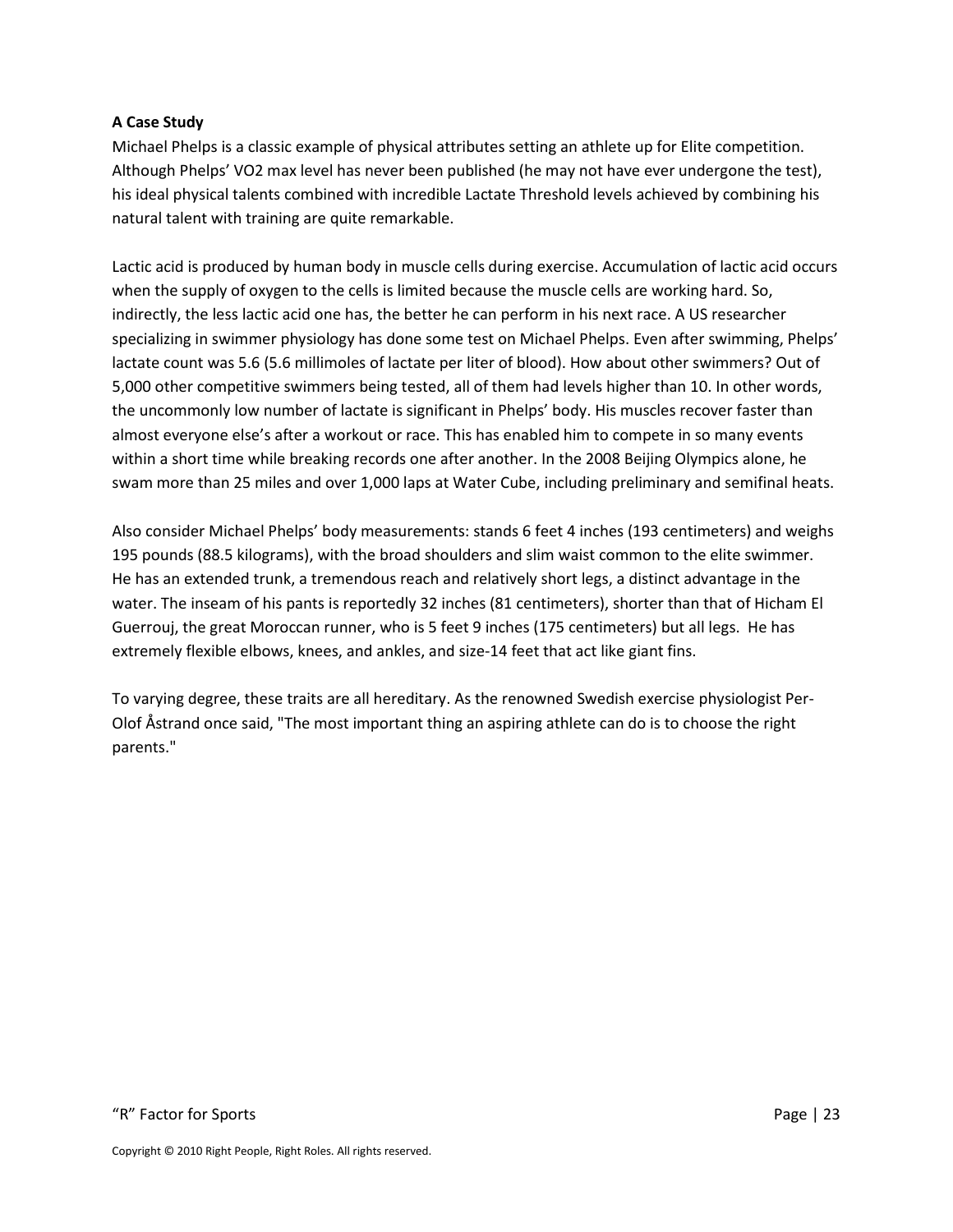#### **A Case Study**

Michael Phelps is a classic example of physical attributes setting an athlete up for Elite competition. Although Phelps' VO2 max level has never been published (he may not have ever undergone the test), his ideal physical talents combined with incredible Lactate Threshold levels achieved by combining his natural talent with training are quite remarkable.

Lactic acid is produced by human body in muscle cells during exercise. Accumulation of lactic acid occurs when the supply of oxygen to the cells is limited because the muscle cells are working hard. So, indirectly, the less lactic acid one has, the better he can perform in his next race. A US researcher specializing in swimmer physiology has done some test on Michael Phelps. Even after swimming, Phelps' lactate count was 5.6 (5.6 millimoles of lactate per liter of blood). How about other swimmers? Out of 5,000 other competitive swimmers being tested, all of them had levels higher than 10. In other words, the uncommonly low number of lactate is significant in Phelps' body. His muscles recover faster than almost everyone else's after a workout or race. This has enabled him to compete in so many events within a short time while breaking records one after another. In the 2008 Beijing Olympics alone, he swam more than 25 miles and over 1,000 laps at Water Cube, including preliminary and semifinal heats.

Also consider Michael Phelps' body measurements: stands 6 feet 4 inches (193 centimeters) and weighs 195 pounds (88.5 kilograms), with the broad shoulders and slim waist common to the elite swimmer. He has an extended trunk, a tremendous reach and relatively short legs, a distinct advantage in the water. The inseam of his pants is reportedly 32 inches (81 centimeters), shorter than that of Hicham El Guerrouj, the great Moroccan runner, who is 5 feet 9 inches (175 centimeters) but all legs. He has extremely flexible elbows, knees, and ankles, and size-14 feet that act like giant fins.

To varying degree, these traits are all hereditary. As the renowned Swedish exercise physiologist Per-Olof Åstrand once said, "The most important thing an aspiring athlete can do is to choose the right parents."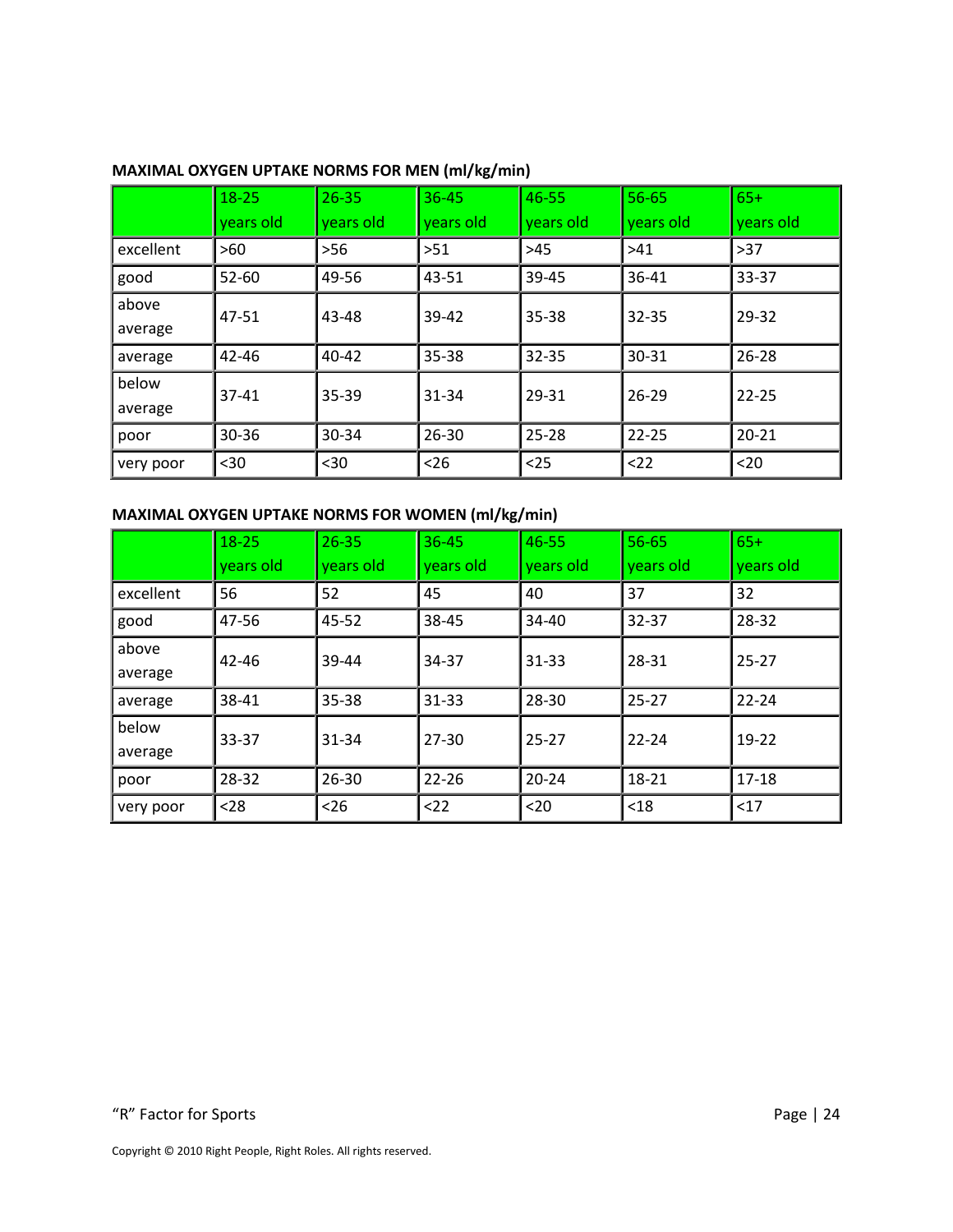|           | $18 - 25$ | $26 - 35$ | $36 - 45$ | 46-55     | $56 - 65$ | $65+$     |
|-----------|-----------|-----------|-----------|-----------|-----------|-----------|
|           | years old | years old | years old | years old | years old | years old |
| excellent | $>60$     | $>56$     | >51       | $>45$     | >41       | $>37$     |
| good      | $52 - 60$ | 49-56     | 43-51     | 39-45     | 36-41     | 33-37     |
| above     | 47-51     | 43-48     | $39 - 42$ | $35 - 38$ | $32 - 35$ | 29-32     |
| average   |           |           |           |           |           |           |
| average   | $42 - 46$ | 40-42     | $35 - 38$ | $32 - 35$ | $30 - 31$ | $26 - 28$ |
| below     | $37 - 41$ | 35-39     | 31-34     | 29-31     | $26 - 29$ | 22-25     |
| average   |           |           |           |           |           |           |
| poor      | $30 - 36$ | 30-34     | 26-30     | $25 - 28$ | $22 - 25$ | $20 - 21$ |
| very poor | $30$      | $30$      | $26$      | $25$      | $22$      | $20$      |

#### **MAXIMAL OXYGEN UPTAKE NORMS FOR MEN (ml/kg/min)**

### **MAXIMAL OXYGEN UPTAKE NORMS FOR WOMEN (ml/kg/min)**

|                  | $18 - 25$ | $26 - 35$ | $36 - 45$ | 46-55     | $56 - 65$ | $65+$     |
|------------------|-----------|-----------|-----------|-----------|-----------|-----------|
|                  | years old | years old | years old | years old | years old | years old |
| excellent        | 56        | 52        | 45        | 40        | 37        | 32        |
| good             | 47-56     | 45-52     | 38-45     | $34 - 40$ | $32 - 37$ | 28-32     |
| above<br>average | 42-46     | 39-44     | 34-37     | $31 - 33$ | 28-31     | $25 - 27$ |
| average          | 38-41     | 35-38     | $31 - 33$ | 28-30     | 25-27     | $22 - 24$ |
| below<br>average | 33-37     | 31-34     | $27 - 30$ | $25 - 27$ | $22 - 24$ | $19-22$   |
| poor             | 28-32     | 26-30     | $22 - 26$ | $20 - 24$ | $18 - 21$ | 17-18     |
| very poor        | $28$      | $26$      | < 22      | $20$      | $18$      | $17$      |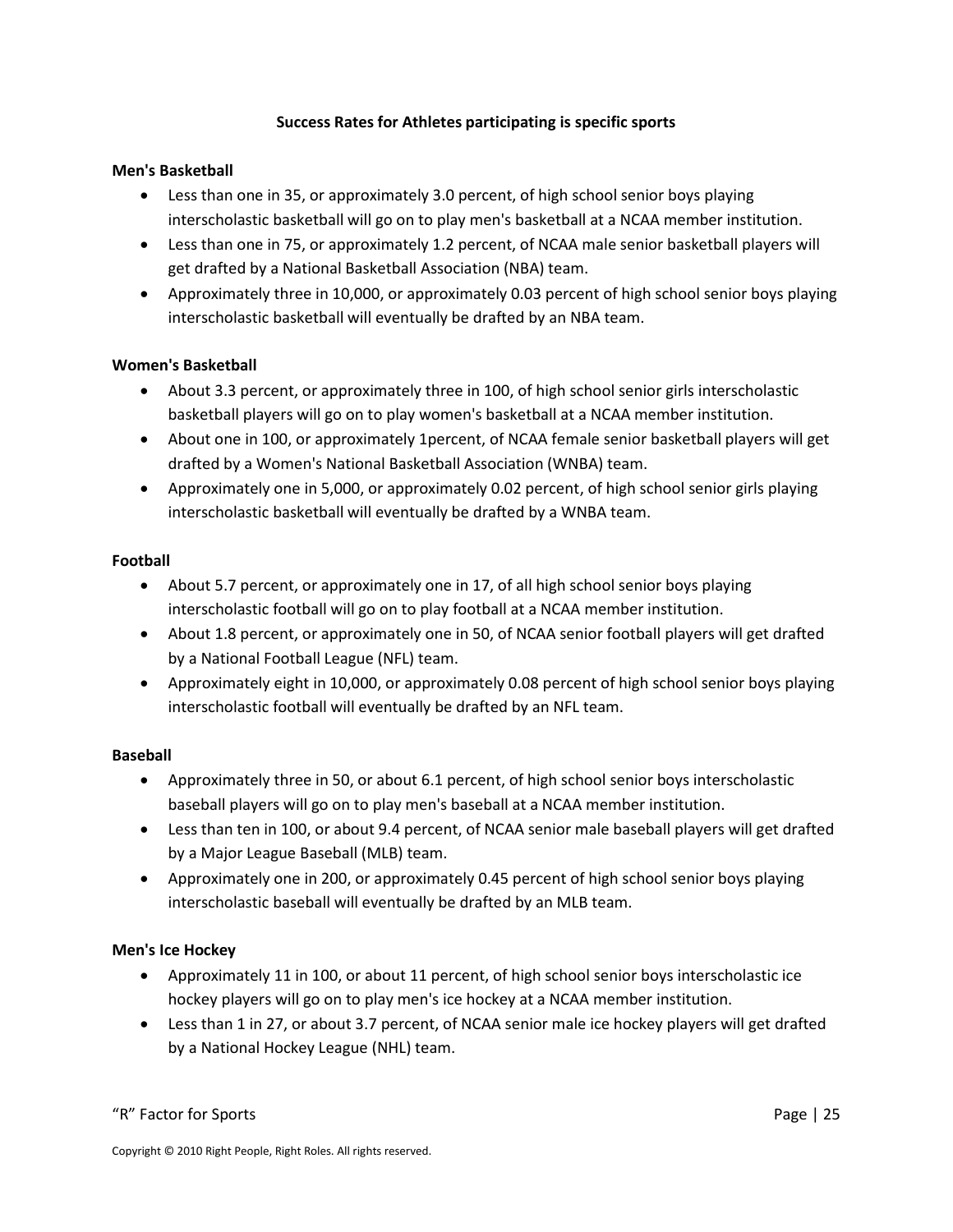#### **Success Rates for Athletes participating is specific sports**

#### **Men's Basketball**

- Less than one in 35, or approximately 3.0 percent, of high school senior boys playing interscholastic basketball will go on to play men's basketball at a NCAA member institution.
- Less than one in 75, or approximately 1.2 percent, of NCAA male senior basketball players will get drafted by a National Basketball Association (NBA) team.
- Approximately three in 10,000, or approximately 0.03 percent of high school senior boys playing interscholastic basketball will eventually be drafted by an NBA team.

#### **Women's Basketball**

- About 3.3 percent, or approximately three in 100, of high school senior girls interscholastic basketball players will go on to play women's basketball at a NCAA member institution.
- About one in 100, or approximately 1percent, of NCAA female senior basketball players will get drafted by a Women's National Basketball Association (WNBA) team.
- Approximately one in 5,000, or approximately 0.02 percent, of high school senior girls playing interscholastic basketball will eventually be drafted by a WNBA team.

#### **Football**

- About 5.7 percent, or approximately one in 17, of all high school senior boys playing interscholastic football will go on to play football at a NCAA member institution.
- About 1.8 percent, or approximately one in 50, of NCAA senior football players will get drafted by a National Football League (NFL) team.
- Approximately eight in 10,000, or approximately 0.08 percent of high school senior boys playing interscholastic football will eventually be drafted by an NFL team.

#### **Baseball**

- Approximately three in 50, or about 6.1 percent, of high school senior boys interscholastic baseball players will go on to play men's baseball at a NCAA member institution.
- Less than ten in 100, or about 9.4 percent, of NCAA senior male baseball players will get drafted by a Major League Baseball (MLB) team.
- Approximately one in 200, or approximately 0.45 percent of high school senior boys playing interscholastic baseball will eventually be drafted by an MLB team.

#### **Men's Ice Hockey**

- Approximately 11 in 100, or about 11 percent, of high school senior boys interscholastic ice hockey players will go on to play men's ice hockey at a NCAA member institution.
- Less than 1 in 27, or about 3.7 percent, of NCAA senior male ice hockey players will get drafted by a National Hockey League (NHL) team.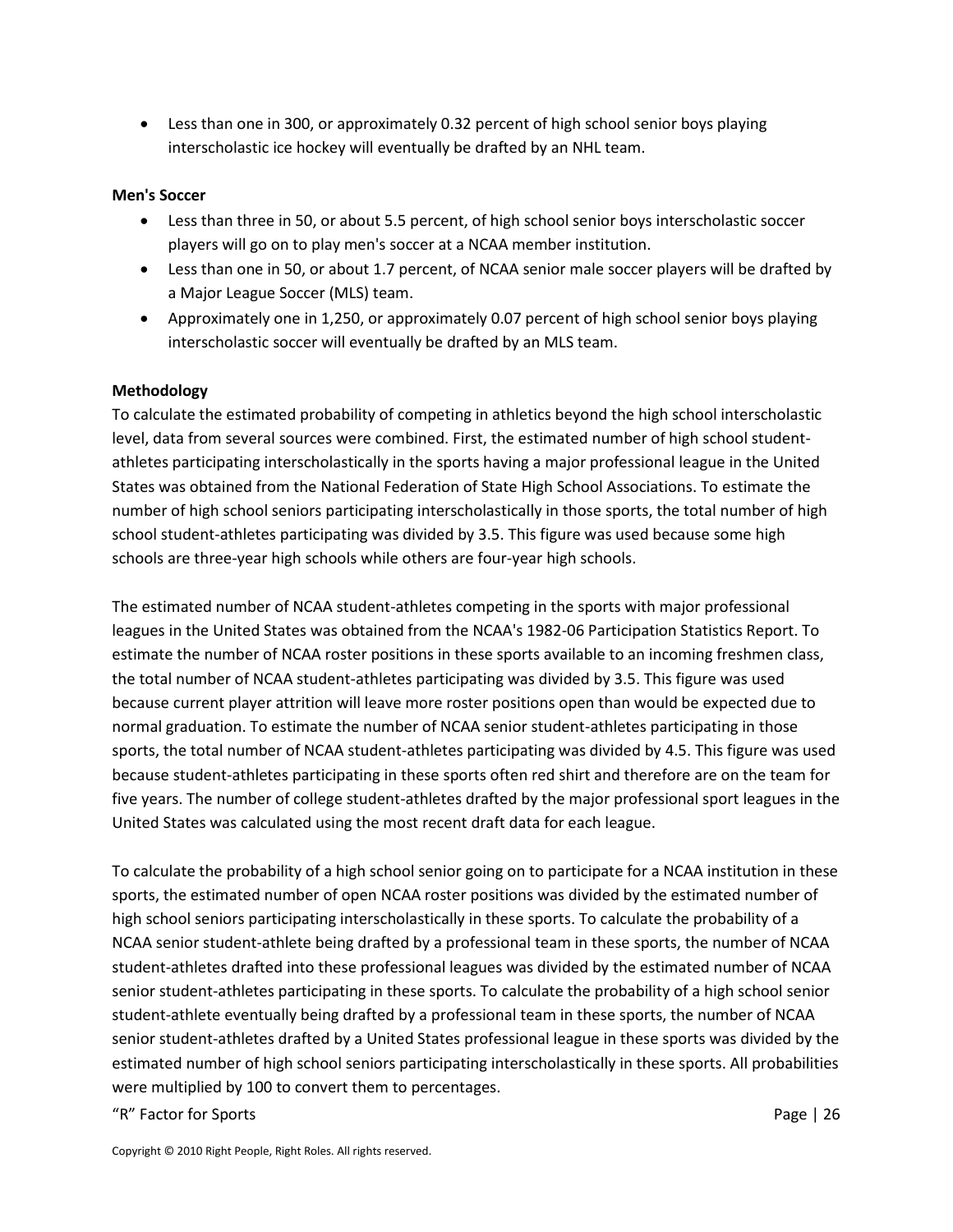Less than one in 300, or approximately 0.32 percent of high school senior boys playing interscholastic ice hockey will eventually be drafted by an NHL team.

#### **Men's Soccer**

- Less than three in 50, or about 5.5 percent, of high school senior boys interscholastic soccer players will go on to play men's soccer at a NCAA member institution.
- Less than one in 50, or about 1.7 percent, of NCAA senior male soccer players will be drafted by a Major League Soccer (MLS) team.
- Approximately one in 1,250, or approximately 0.07 percent of high school senior boys playing interscholastic soccer will eventually be drafted by an MLS team.

#### **Methodology**

To calculate the estimated probability of competing in athletics beyond the high school interscholastic level, data from several sources were combined. First, the estimated number of high school studentathletes participating interscholastically in the sports having a major professional league in the United States was obtained from the National Federation of State High School Associations. To estimate the number of high school seniors participating interscholastically in those sports, the total number of high school student-athletes participating was divided by 3.5. This figure was used because some high schools are three-year high schools while others are four-year high schools.

The estimated number of NCAA student-athletes competing in the sports with major professional leagues in the United States was obtained from the NCAA's 1982-06 Participation Statistics Report. To estimate the number of NCAA roster positions in these sports available to an incoming freshmen class, the total number of NCAA student-athletes participating was divided by 3.5. This figure was used because current player attrition will leave more roster positions open than would be expected due to normal graduation. To estimate the number of NCAA senior student-athletes participating in those sports, the total number of NCAA student-athletes participating was divided by 4.5. This figure was used because student-athletes participating in these sports often red shirt and therefore are on the team for five years. The number of college student-athletes drafted by the major professional sport leagues in the United States was calculated using the most recent draft data for each league.

To calculate the probability of a high school senior going on to participate for a NCAA institution in these sports, the estimated number of open NCAA roster positions was divided by the estimated number of high school seniors participating interscholastically in these sports. To calculate the probability of a NCAA senior student-athlete being drafted by a professional team in these sports, the number of NCAA student-athletes drafted into these professional leagues was divided by the estimated number of NCAA senior student-athletes participating in these sports. To calculate the probability of a high school senior student-athlete eventually being drafted by a professional team in these sports, the number of NCAA senior student-athletes drafted by a United States professional league in these sports was divided by the estimated number of high school seniors participating interscholastically in these sports. All probabilities were multiplied by 100 to convert them to percentages.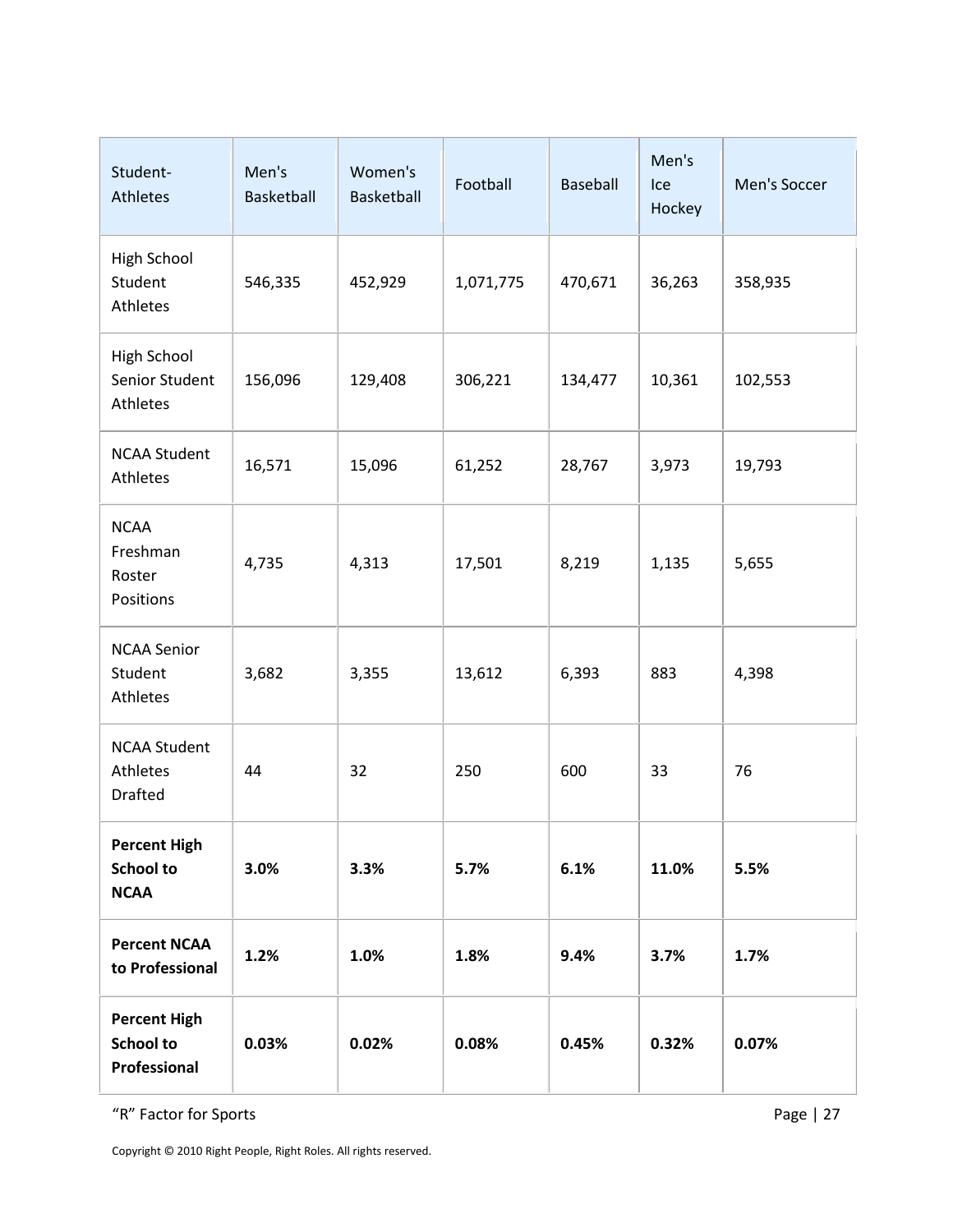| Student-<br>Athletes                                    | Men's<br>Basketball | Women's<br>Basketball | Football  | Baseball | Men's<br>Ice<br>Hockey | Men's Soccer |
|---------------------------------------------------------|---------------------|-----------------------|-----------|----------|------------------------|--------------|
| <b>High School</b><br>Student<br>Athletes               | 546,335             | 452,929               | 1,071,775 | 470,671  | 36,263                 | 358,935      |
| <b>High School</b><br>Senior Student<br>Athletes        | 156,096             | 129,408               | 306,221   | 134,477  | 10,361                 | 102,553      |
| <b>NCAA Student</b><br>Athletes                         | 16,571              | 15,096                | 61,252    | 28,767   | 3,973                  | 19,793       |
| <b>NCAA</b><br>Freshman<br>Roster<br>Positions          | 4,735               | 4,313                 | 17,501    | 8,219    | 1,135                  | 5,655        |
| <b>NCAA Senior</b><br>Student<br>Athletes               | 3,682               | 3,355                 | 13,612    | 6,393    | 883                    | 4,398        |
| <b>NCAA Student</b><br>Athletes<br><b>Drafted</b>       | 44                  | 32                    | 250       | 600      | 33                     | 76           |
| <b>Percent High</b><br><b>School to</b><br><b>NCAA</b>  | 3.0%                | 3.3%                  | 5.7%      | 6.1%     | 11.0%                  | 5.5%         |
| <b>Percent NCAA</b><br>to Professional                  | 1.2%                | 1.0%                  | 1.8%      | 9.4%     | 3.7%                   | 1.7%         |
| <b>Percent High</b><br><b>School to</b><br>Professional | 0.03%               | 0.02%                 | 0.08%     | 0.45%    | 0.32%                  | 0.07%        |